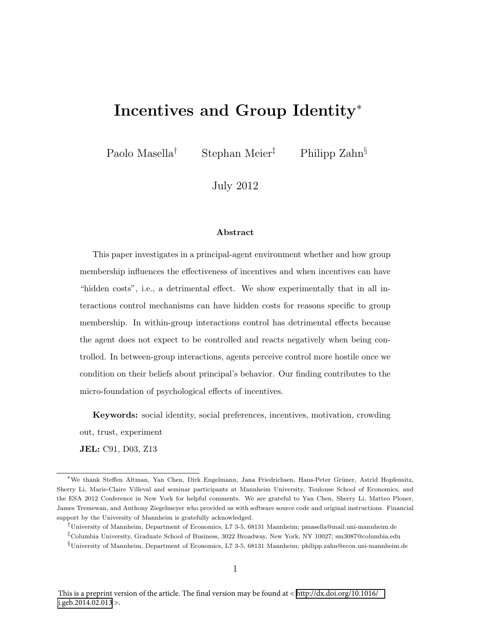# Incentives and Group Identity<sup>∗</sup>

Paolo Masella<sup>†</sup> Stephan Meier<sup>‡</sup> Philipp Zahn<sup>§</sup>

July 2012

#### Abstract

This paper investigates in a principal-agent environment whether and how group membership influences the effectiveness of incentives and when incentives can have "hidden costs", i.e., a detrimental effect. We show experimentally that in all interactions control mechanisms can have hidden costs for reasons specific to group membership. In within-group interactions control has detrimental effects because the agent does not expect to be controlled and reacts negatively when being controlled. In between-group interactions, agents perceive control more hostile once we condition on their beliefs about principal's behavior. Our finding contributes to the micro-foundation of psychological effects of incentives.

Keywords: social identity, social preferences, incentives, motivation, crowding out, trust, experiment

JEL: C91, D03, Z13

<sup>\*</sup>We thank Steffen Altman, Yan Chen, Dirk Engelmann, Jana Friedrichsen, Hans-Peter Grüner, Astrid Hopfensitz, Sherry Li, Marie-Claire Villeval and seminar participants at Mannheim University, Toulouse School of Economics, and the ESA 2012 Conference in New York for helpful comments. We are grateful to Yan Chen, Sherry Li, Matteo Ploner, James Tremewan, and Anthony Ziegelmeyer who provided us with software source code and original instructions. Financial support by the University of Mannheim is gratefully acknowledged.

<sup>†</sup>University of Mannheim, Department of Economics, L7 3-5, 68131 Mannheim; pmasella@mail.uni-mannheim.de ‡Columbia University, Graduate School of Business, 3022 Broadway, New York, NY 10027; sm3087@columbia.edu

<sup>§</sup>University of Mannheim, Department of Economics, L7 3-5, 68131 Mannheim; philipp.zahn@econ.uni-mannheim.de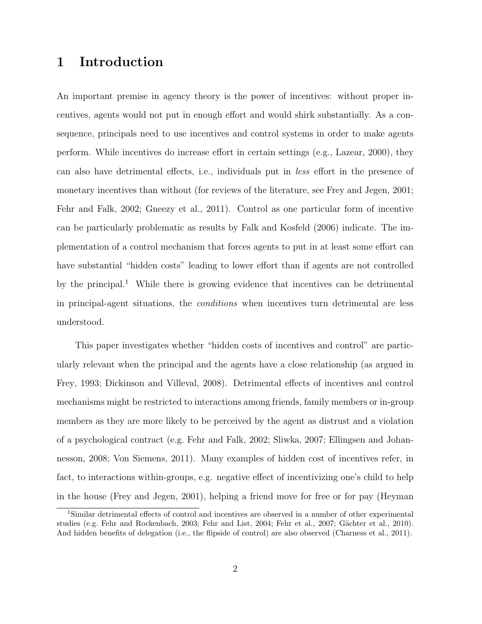## 1 Introduction

An important premise in agency theory is the power of incentives: without proper incentives, agents would not put in enough effort and would shirk substantially. As a consequence, principals need to use incentives and control systems in order to make agents perform. While incentives do increase effort in certain settings (e.g., Lazear, 2000), they can also have detrimental effects, i.e., individuals put in less effort in the presence of monetary incentives than without (for reviews of the literature, see Frey and Jegen, 2001; Fehr and Falk, 2002; Gneezy et al., 2011). Control as one particular form of incentive can be particularly problematic as results by Falk and Kosfeld (2006) indicate. The implementation of a control mechanism that forces agents to put in at least some effort can have substantial "hidden costs" leading to lower effort than if agents are not controlled by the principal.<sup>1</sup> While there is growing evidence that incentives can be detrimental in principal-agent situations, the conditions when incentives turn detrimental are less understood.

This paper investigates whether "hidden costs of incentives and control" are particularly relevant when the principal and the agents have a close relationship (as argued in Frey, 1993; Dickinson and Villeval, 2008). Detrimental effects of incentives and control mechanisms might be restricted to interactions among friends, family members or in-group members as they are more likely to be perceived by the agent as distrust and a violation of a psychological contract (e.g. Fehr and Falk, 2002; Sliwka, 2007; Ellingsen and Johannesson, 2008; Von Siemens, 2011). Many examples of hidden cost of incentives refer, in fact, to interactions within-groups, e.g. negative effect of incentivizing one's child to help in the house (Frey and Jegen, 2001), helping a friend move for free or for pay (Heyman

<sup>1</sup>Similar detrimental effects of control and incentives are observed in a number of other experimental studies (e.g. Fehr and Rockenbach, 2003; Fehr and List, 2004; Fehr et al., 2007; Gächter et al., 2010). And hidden benefits of delegation (i.e., the flipside of control) are also observed (Charness et al., 2011).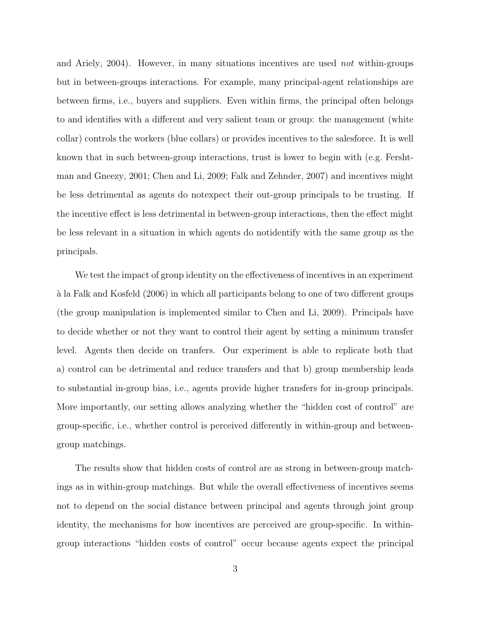and Ariely, 2004). However, in many situations incentives are used not within-groups but in between-groups interactions. For example, many principal-agent relationships are between firms, i.e., buyers and suppliers. Even within firms, the principal often belongs to and identifies with a different and very salient team or group: the management (white collar) controls the workers (blue collars) or provides incentives to the salesforce. It is well known that in such between-group interactions, trust is lower to begin with (e.g. Fershtman and Gneezy, 2001; Chen and Li, 2009; Falk and Zehnder, 2007) and incentives might be less detrimental as agents do notexpect their out-group principals to be trusting. If the incentive effect is less detrimental in between-group interactions, then the effect might be less relevant in a situation in which agents do notidentify with the same group as the principals.

We test the impact of group identity on the effectiveness of incentives in an experiment `a la Falk and Kosfeld (2006) in which all participants belong to one of two different groups (the group manipulation is implemented similar to Chen and Li, 2009). Principals have to decide whether or not they want to control their agent by setting a minimum transfer level. Agents then decide on tranfers. Our experiment is able to replicate both that a) control can be detrimental and reduce transfers and that b) group membership leads to substantial in-group bias, i.e., agents provide higher transfers for in-group principals. More importantly, our setting allows analyzing whether the "hidden cost of control" are group-specific, i.e., whether control is perceived differently in within-group and betweengroup matchings.

The results show that hidden costs of control are as strong in between-group matchings as in within-group matchings. But while the overall effectiveness of incentives seems not to depend on the social distance between principal and agents through joint group identity, the mechanisms for how incentives are perceived are group-specific. In withingroup interactions "hidden costs of control" occur because agents expect the principal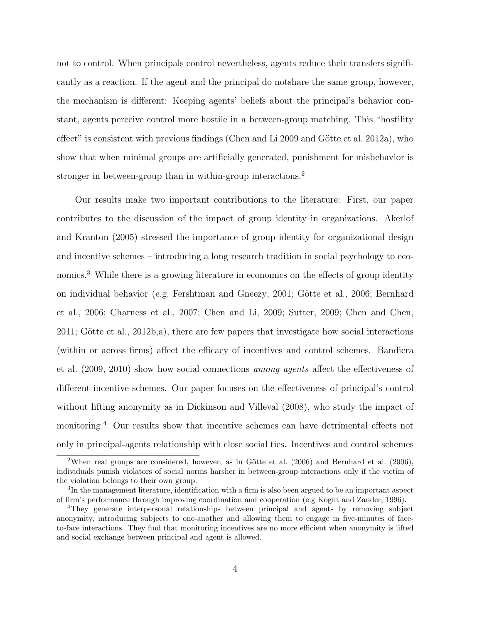not to control. When principals control nevertheless, agents reduce their transfers significantly as a reaction. If the agent and the principal do notshare the same group, however, the mechanism is different: Keeping agents' beliefs about the principal's behavior constant, agents perceive control more hostile in a between-group matching. This "hostility effect" is consistent with previous findings (Chen and Li 2009 and Götte et al. 2012a), who show that when minimal groups are artificially generated, punishment for misbehavior is stronger in between-group than in within-group interactions.<sup>2</sup>

Our results make two important contributions to the literature: First, our paper contributes to the discussion of the impact of group identity in organizations. Akerlof and Kranton (2005) stressed the importance of group identity for organizational design and incentive schemes – introducing a long research tradition in social psychology to economics.<sup>3</sup> While there is a growing literature in economics on the effects of group identity on individual behavior (e.g. Fershtman and Gneezy, 2001; Götte et al., 2006; Bernhard et al., 2006; Charness et al., 2007; Chen and Li, 2009; Sutter, 2009; Chen and Chen,  $2011$ ; Götte et al.,  $2012b$ ,a), there are few papers that investigate how social interactions (within or across firms) affect the efficacy of incentives and control schemes. Bandiera et al. (2009, 2010) show how social connections among agents affect the effectiveness of different incentive schemes. Our paper focuses on the effectiveness of principal's control without lifting anonymity as in Dickinson and Villeval (2008), who study the impact of monitoring.<sup>4</sup> Our results show that incentive schemes can have detrimental effects not only in principal-agents relationship with close social ties. Incentives and control schemes

<sup>&</sup>lt;sup>2</sup>When real groups are considered, however, as in Götte et al.  $(2006)$  and Bernhard et al.  $(2006)$ , individuals punish violators of social norms harsher in between-group interactions only if the victim of the violation belongs to their own group.

<sup>&</sup>lt;sup>3</sup>In the management literature, identification with a firm is also been argued to be an important aspect of firm's performance through improving coordination and cooperation (e.g Kogut and Zander, 1996).

<sup>4</sup>They generate interpersonal relationships between principal and agents by removing subject anonymity, introducing subjects to one-another and allowing them to engage in five-minutes of faceto-face interactions. They find that monitoring incentives are no more efficient when anonymity is lifted and social exchange between principal and agent is allowed.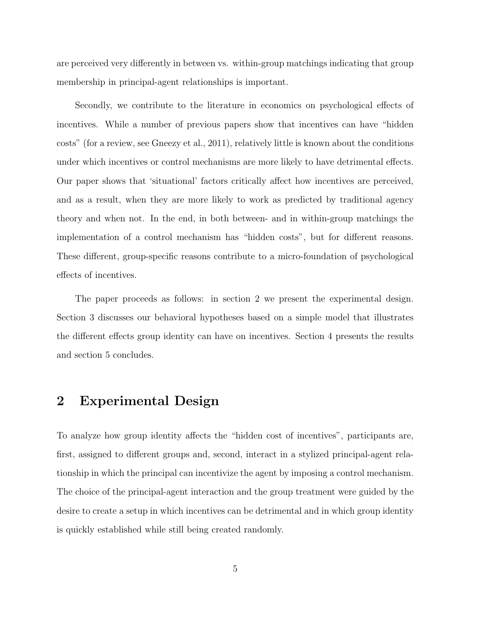are perceived very differently in between vs. within-group matchings indicating that group membership in principal-agent relationships is important.

Secondly, we contribute to the literature in economics on psychological effects of incentives. While a number of previous papers show that incentives can have "hidden costs" (for a review, see Gneezy et al., 2011), relatively little is known about the conditions under which incentives or control mechanisms are more likely to have detrimental effects. Our paper shows that 'situational' factors critically affect how incentives are perceived, and as a result, when they are more likely to work as predicted by traditional agency theory and when not. In the end, in both between- and in within-group matchings the implementation of a control mechanism has "hidden costs", but for different reasons. These different, group-specific reasons contribute to a micro-foundation of psychological effects of incentives.

The paper proceeds as follows: in section 2 we present the experimental design. Section 3 discusses our behavioral hypotheses based on a simple model that illustrates the different effects group identity can have on incentives. Section 4 presents the results and section 5 concludes.

## 2 Experimental Design

To analyze how group identity affects the "hidden cost of incentives", participants are, first, assigned to different groups and, second, interact in a stylized principal-agent relationship in which the principal can incentivize the agent by imposing a control mechanism. The choice of the principal-agent interaction and the group treatment were guided by the desire to create a setup in which incentives can be detrimental and in which group identity is quickly established while still being created randomly.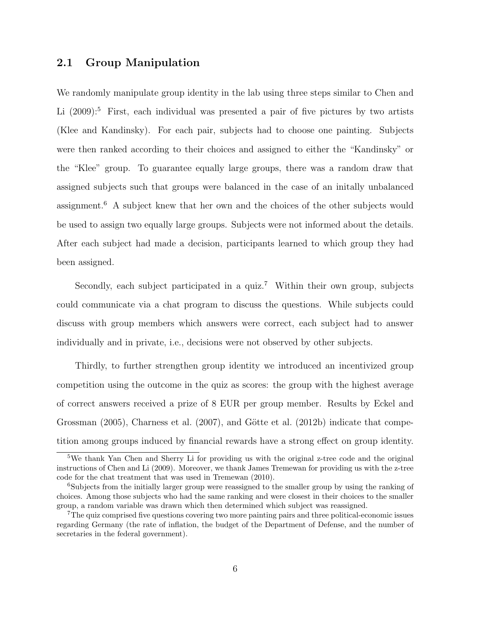### 2.1 Group Manipulation

We randomly manipulate group identity in the lab using three steps similar to Chen and Li  $(2009)$ :<sup>5</sup> First, each individual was presented a pair of five pictures by two artists (Klee and Kandinsky). For each pair, subjects had to choose one painting. Subjects were then ranked according to their choices and assigned to either the "Kandinsky" or the "Klee" group. To guarantee equally large groups, there was a random draw that assigned subjects such that groups were balanced in the case of an initally unbalanced assignment.<sup>6</sup> A subject knew that her own and the choices of the other subjects would be used to assign two equally large groups. Subjects were not informed about the details. After each subject had made a decision, participants learned to which group they had been assigned.

Secondly, each subject participated in a quiz.<sup>7</sup> Within their own group, subjects could communicate via a chat program to discuss the questions. While subjects could discuss with group members which answers were correct, each subject had to answer individually and in private, i.e., decisions were not observed by other subjects.

Thirdly, to further strengthen group identity we introduced an incentivized group competition using the outcome in the quiz as scores: the group with the highest average of correct answers received a prize of 8 EUR per group member. Results by Eckel and Grossman  $(2005)$ , Charness et al.  $(2007)$ , and Götte et al.  $(2012b)$  indicate that competition among groups induced by financial rewards have a strong effect on group identity.

<sup>&</sup>lt;sup>5</sup>We thank Yan Chen and Sherry Li for providing us with the original z-tree code and the original instructions of Chen and Li (2009). Moreover, we thank James Tremewan for providing us with the z-tree code for the chat treatment that was used in Tremewan (2010).

<sup>6</sup>Subjects from the initially larger group were reassigned to the smaller group by using the ranking of choices. Among those subjects who had the same ranking and were closest in their choices to the smaller group, a random variable was drawn which then determined which subject was reassigned.

<sup>7</sup>The quiz comprised five questions covering two more painting pairs and three political-economic issues regarding Germany (the rate of inflation, the budget of the Department of Defense, and the number of secretaries in the federal government).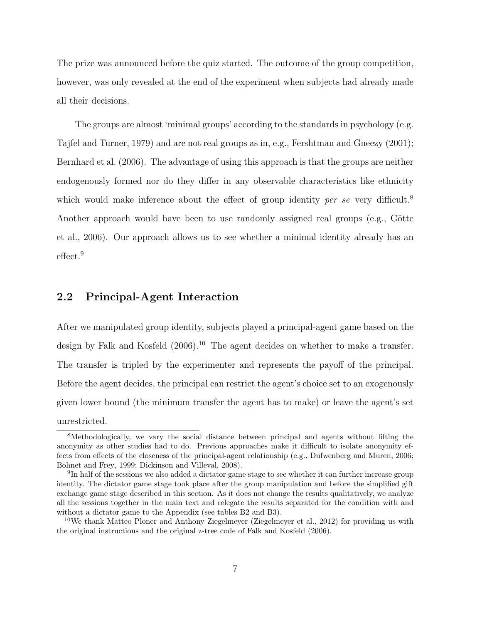The prize was announced before the quiz started. The outcome of the group competition, however, was only revealed at the end of the experiment when subjects had already made all their decisions.

The groups are almost 'minimal groups' according to the standards in psychology (e.g. Tajfel and Turner, 1979) and are not real groups as in, e.g., Fershtman and Gneezy (2001); Bernhard et al. (2006). The advantage of using this approach is that the groups are neither endogenously formed nor do they differ in any observable characteristics like ethnicity which would make inference about the effect of group identity *per se* very difficult.<sup>8</sup> Another approach would have been to use randomly assigned real groups (e.g., Götte et al., 2006). Our approach allows us to see whether a minimal identity already has an effect.<sup>9</sup>

### 2.2 Principal-Agent Interaction

After we manipulated group identity, subjects played a principal-agent game based on the design by Falk and Kosfeld (2006).<sup>10</sup> The agent decides on whether to make a transfer. The transfer is tripled by the experimenter and represents the payoff of the principal. Before the agent decides, the principal can restrict the agent's choice set to an exogenously given lower bound (the minimum transfer the agent has to make) or leave the agent's set unrestricted.

<sup>8</sup>Methodologically, we vary the social distance between principal and agents without lifting the anonymity as other studies had to do. Previous approaches make it difficult to isolate anonymity effects from effects of the closeness of the principal-agent relationship (e.g., Dufwenberg and Muren, 2006; Bohnet and Frey, 1999; Dickinson and Villeval, 2008).

<sup>&</sup>lt;sup>9</sup>In half of the sessions we also added a dictator game stage to see whether it can further increase group identity. The dictator game stage took place after the group manipulation and before the simplified gift exchange game stage described in this section. As it does not change the results qualitatively, we analyze all the sessions together in the main text and relegate the results separated for the condition with and without a dictator game to the Appendix (see tables B2 and B3).

<sup>&</sup>lt;sup>10</sup>We thank Matteo Ploner and Anthony Ziegelmeyer (Ziegelmeyer et al., 2012) for providing us with the original instructions and the original z-tree code of Falk and Kosfeld (2006).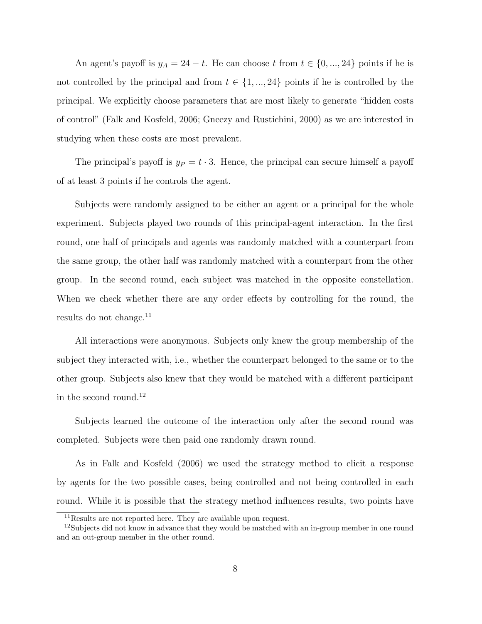An agent's payoff is  $y_A = 24 - t$ . He can choose t from  $t \in \{0, ..., 24\}$  points if he is not controlled by the principal and from  $t \in \{1, ..., 24\}$  points if he is controlled by the principal. We explicitly choose parameters that are most likely to generate "hidden costs of control" (Falk and Kosfeld, 2006; Gneezy and Rustichini, 2000) as we are interested in studying when these costs are most prevalent.

The principal's payoff is  $y_P = t \cdot 3$ . Hence, the principal can secure himself a payoff of at least 3 points if he controls the agent.

Subjects were randomly assigned to be either an agent or a principal for the whole experiment. Subjects played two rounds of this principal-agent interaction. In the first round, one half of principals and agents was randomly matched with a counterpart from the same group, the other half was randomly matched with a counterpart from the other group. In the second round, each subject was matched in the opposite constellation. When we check whether there are any order effects by controlling for the round, the results do not change. $^{11}$ 

All interactions were anonymous. Subjects only knew the group membership of the subject they interacted with, i.e., whether the counterpart belonged to the same or to the other group. Subjects also knew that they would be matched with a different participant in the second round.<sup>12</sup>

Subjects learned the outcome of the interaction only after the second round was completed. Subjects were then paid one randomly drawn round.

As in Falk and Kosfeld (2006) we used the strategy method to elicit a response by agents for the two possible cases, being controlled and not being controlled in each round. While it is possible that the strategy method influences results, two points have

<sup>11</sup>Results are not reported here. They are available upon request.

 $12$ Subjects did not know in advance that they would be matched with an in-group member in one round and an out-group member in the other round.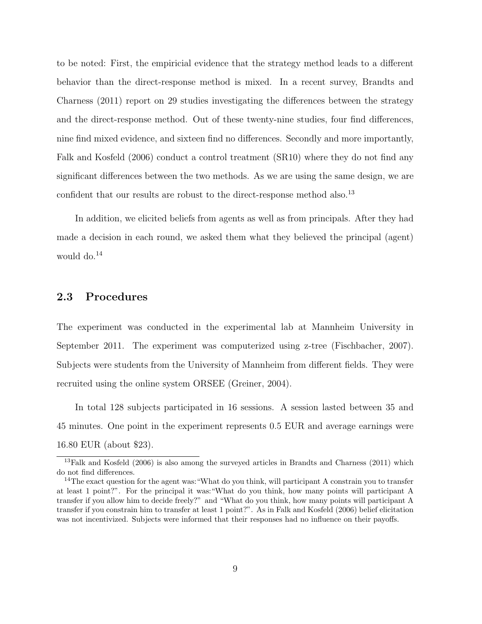to be noted: First, the empiricial evidence that the strategy method leads to a different behavior than the direct-response method is mixed. In a recent survey, Brandts and Charness (2011) report on 29 studies investigating the differences between the strategy and the direct-response method. Out of these twenty-nine studies, four find differences, nine find mixed evidence, and sixteen find no differences. Secondly and more importantly, Falk and Kosfeld (2006) conduct a control treatment (SR10) where they do not find any significant differences between the two methods. As we are using the same design, we are confident that our results are robust to the direct-response method also.<sup>13</sup>

In addition, we elicited beliefs from agents as well as from principals. After they had made a decision in each round, we asked them what they believed the principal (agent) would do.<sup>14</sup>

### 2.3 Procedures

The experiment was conducted in the experimental lab at Mannheim University in September 2011. The experiment was computerized using z-tree (Fischbacher, 2007). Subjects were students from the University of Mannheim from different fields. They were recruited using the online system ORSEE (Greiner, 2004).

In total 128 subjects participated in 16 sessions. A session lasted between 35 and 45 minutes. One point in the experiment represents 0.5 EUR and average earnings were 16.80 EUR (about \$23).

<sup>&</sup>lt;sup>13</sup>Falk and Kosfeld (2006) is also among the surveyed articles in Brandts and Charness (2011) which do not find differences.

<sup>&</sup>lt;sup>14</sup>The exact question for the agent was: "What do you think, will participant A constrain you to transfer at least 1 point?". For the principal it was:"What do you think, how many points will participant A transfer if you allow him to decide freely?" and "What do you think, how many points will participant A transfer if you constrain him to transfer at least 1 point?". As in Falk and Kosfeld (2006) belief elicitation was not incentivized. Subjects were informed that their responses had no influence on their payoffs.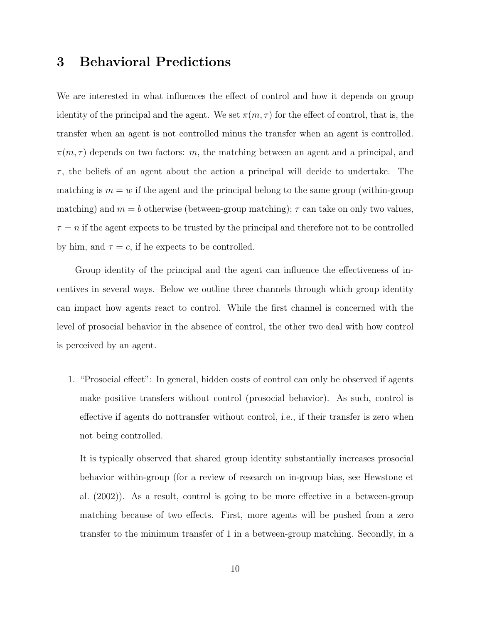## 3 Behavioral Predictions

We are interested in what influences the effect of control and how it depends on group identity of the principal and the agent. We set  $\pi(m, \tau)$  for the effect of control, that is, the transfer when an agent is not controlled minus the transfer when an agent is controlled.  $\pi(m, \tau)$  depends on two factors: m, the matching between an agent and a principal, and  $\tau$ , the beliefs of an agent about the action a principal will decide to undertake. The matching is  $m = w$  if the agent and the principal belong to the same group (within-group matching) and  $m = b$  otherwise (between-group matching);  $\tau$  can take on only two values,  $\tau = n$  if the agent expects to be trusted by the principal and therefore not to be controlled by him, and  $\tau = c$ , if he expects to be controlled.

Group identity of the principal and the agent can influence the effectiveness of incentives in several ways. Below we outline three channels through which group identity can impact how agents react to control. While the first channel is concerned with the level of prosocial behavior in the absence of control, the other two deal with how control is perceived by an agent.

1. "Prosocial effect": In general, hidden costs of control can only be observed if agents make positive transfers without control (prosocial behavior). As such, control is effective if agents do nottransfer without control, i.e., if their transfer is zero when not being controlled.

It is typically observed that shared group identity substantially increases prosocial behavior within-group (for a review of research on in-group bias, see Hewstone et al. (2002)). As a result, control is going to be more effective in a between-group matching because of two effects. First, more agents will be pushed from a zero transfer to the minimum transfer of 1 in a between-group matching. Secondly, in a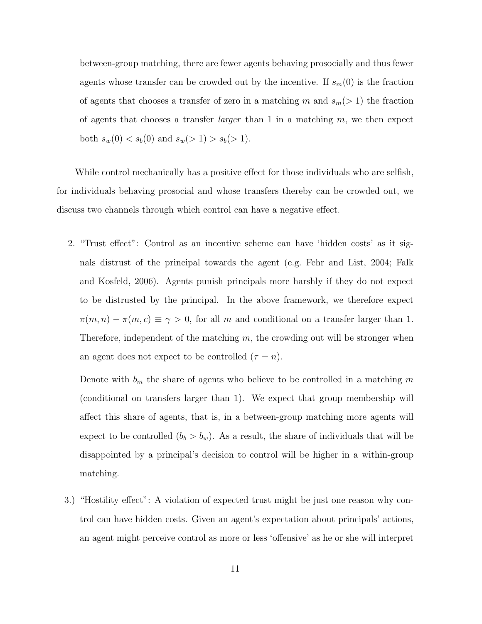between-group matching, there are fewer agents behaving prosocially and thus fewer agents whose transfer can be crowded out by the incentive. If  $s_m(0)$  is the fraction of agents that chooses a transfer of zero in a matching m and  $s_m(> 1)$  the fraction of agents that chooses a transfer *larger* than 1 in a matching  $m$ , we then expect both  $s_w(0) < s_b(0)$  and  $s_w(> 1) > s_b(> 1)$ .

While control mechanically has a positive effect for those individuals who are selfish, for individuals behaving prosocial and whose transfers thereby can be crowded out, we discuss two channels through which control can have a negative effect.

2. "Trust effect": Control as an incentive scheme can have 'hidden costs' as it signals distrust of the principal towards the agent (e.g. Fehr and List, 2004; Falk and Kosfeld, 2006). Agents punish principals more harshly if they do not expect to be distrusted by the principal. In the above framework, we therefore expect  $\pi(m, n) - \pi(m, c) \equiv \gamma > 0$ , for all m and conditional on a transfer larger than 1. Therefore, independent of the matching  $m$ , the crowding out will be stronger when an agent does not expect to be controlled  $(\tau = n)$ .

Denote with  $b_m$  the share of agents who believe to be controlled in a matching m (conditional on transfers larger than 1). We expect that group membership will affect this share of agents, that is, in a between-group matching more agents will expect to be controlled  $(b_b > b_w)$ . As a result, the share of individuals that will be disappointed by a principal's decision to control will be higher in a within-group matching.

3.) "Hostility effect": A violation of expected trust might be just one reason why control can have hidden costs. Given an agent's expectation about principals' actions, an agent might perceive control as more or less 'offensive' as he or she will interpret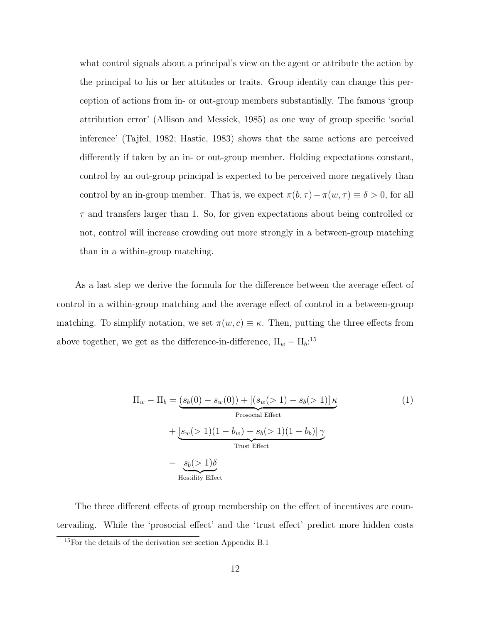what control signals about a principal's view on the agent or attribute the action by the principal to his or her attitudes or traits. Group identity can change this perception of actions from in- or out-group members substantially. The famous 'group attribution error' (Allison and Messick, 1985) as one way of group specific 'social inference' (Tajfel, 1982; Hastie, 1983) shows that the same actions are perceived differently if taken by an in- or out-group member. Holding expectations constant, control by an out-group principal is expected to be perceived more negatively than control by an in-group member. That is, we expect  $\pi(b, \tau) - \pi(w, \tau) \equiv \delta > 0$ , for all  $\tau$  and transfers larger than 1. So, for given expectations about being controlled or not, control will increase crowding out more strongly in a between-group matching than in a within-group matching.

As a last step we derive the formula for the difference between the average effect of control in a within-group matching and the average effect of control in a between-group matching. To simplify notation, we set  $\pi(w, c) \equiv \kappa$ . Then, putting the three effects from above together, we get as the difference-in-difference,  $\Pi_w - \Pi_b$ <sup>15</sup>

$$
\Pi_w - \Pi_b = (s_b(0) - s_w(0)) + [(s_w(>1) - s_b(>1)]\kappa + [s_w(>1)(1 - b_w) - s_b(>1)(1 - b_b)]\gamma
$$
  
\n
$$
+ \underbrace{[s_w(>1)(1 - b_w) - s_b(>1)(1 - b_b)]\gamma}_{\text{Trust Effect}}
$$
\n
$$
- \underbrace{s_b(>1)\delta}_{\text{Hostility Effect}}
$$
\n(1)

The three different effects of group membership on the effect of incentives are countervailing. While the 'prosocial effect' and the 'trust effect' predict more hidden costs

<sup>15</sup>For the details of the derivation see section Appendix B.1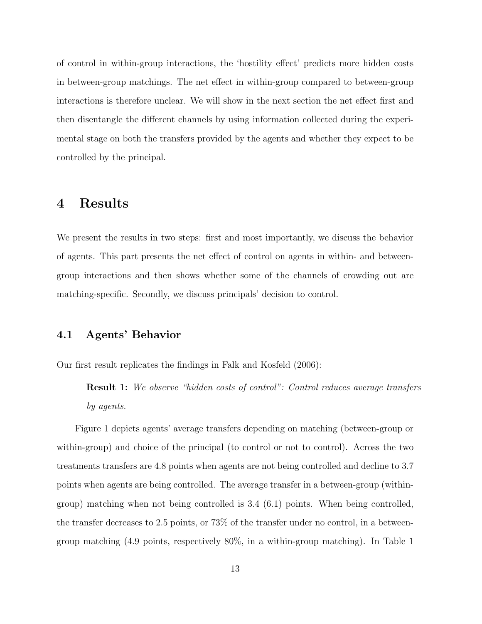of control in within-group interactions, the 'hostility effect' predicts more hidden costs in between-group matchings. The net effect in within-group compared to between-group interactions is therefore unclear. We will show in the next section the net effect first and then disentangle the different channels by using information collected during the experimental stage on both the transfers provided by the agents and whether they expect to be controlled by the principal.

### 4 Results

We present the results in two steps: first and most importantly, we discuss the behavior of agents. This part presents the net effect of control on agents in within- and betweengroup interactions and then shows whether some of the channels of crowding out are matching-specific. Secondly, we discuss principals' decision to control.

### 4.1 Agents' Behavior

Our first result replicates the findings in Falk and Kosfeld (2006):

**Result 1:** We observe "hidden costs of control": Control reduces average transfers by agents.

Figure 1 depicts agents' average transfers depending on matching (between-group or within-group) and choice of the principal (to control or not to control). Across the two treatments transfers are 4.8 points when agents are not being controlled and decline to 3.7 points when agents are being controlled. The average transfer in a between-group (withingroup) matching when not being controlled is 3.4 (6.1) points. When being controlled, the transfer decreases to 2.5 points, or 73% of the transfer under no control, in a betweengroup matching (4.9 points, respectively 80%, in a within-group matching). In Table 1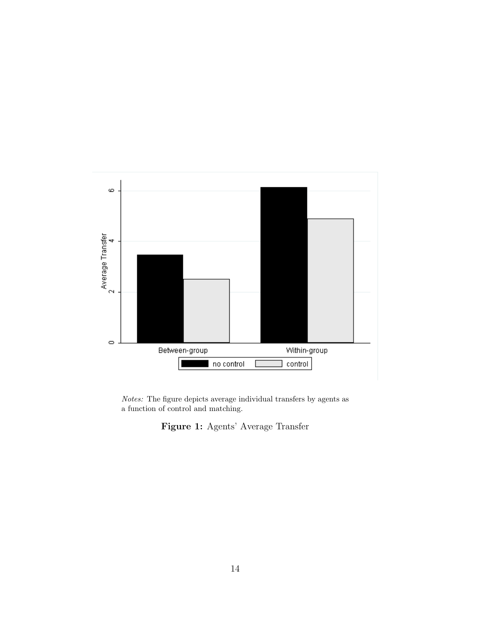

Notes: The figure depicts average individual transfers by agents as a function of control and matching.

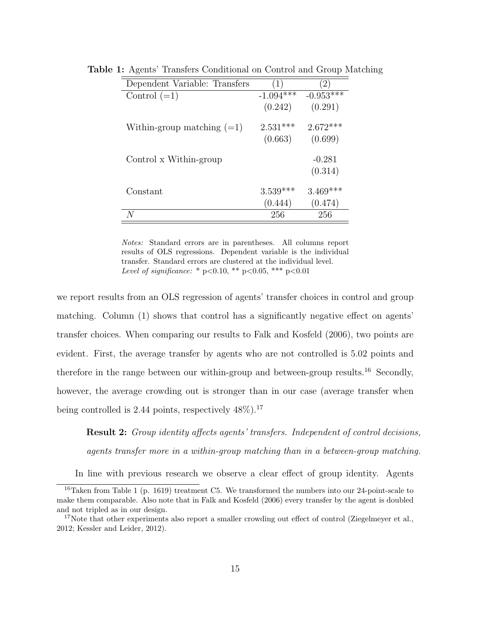| Dependent Variable: Transfers | (1)         | $\overline{2}$ |
|-------------------------------|-------------|----------------|
| Control $(=1)$                | $-1.094***$ | $-0.953***$    |
|                               | (0.242)     | (0.291)        |
| Within-group matching $(=1)$  | $2.531***$  | $2.672***$     |
|                               | (0.663)     | (0.699)        |
| Control x Within-group        |             | $-0.281$       |
|                               |             | (0.314)        |
| Constant                      | $3.539***$  | $3.469***$     |
|                               | (0.444)     | (0.474)        |
|                               | 256         | 256            |

Table 1: Agents' Transfers Conditional on Control and Group Matching

Notes: Standard errors are in parentheses. All columns report results of OLS regressions. Dependent variable is the individual transfer. Standard errors are clustered at the individual level. Level of significance: \* p<0.10, \*\* p<0.05, \*\*\* p<0.01

we report results from an OLS regression of agents' transfer choices in control and group matching. Column (1) shows that control has a significantly negative effect on agents' transfer choices. When comparing our results to Falk and Kosfeld (2006), two points are evident. First, the average transfer by agents who are not controlled is 5.02 points and therefore in the range between our within-group and between-group results.<sup>16</sup> Secondly, however, the average crowding out is stronger than in our case (average transfer when being controlled is 2.44 points, respectively  $48\%$ ).<sup>17</sup>

Result 2: Group identity affects agents' transfers. Independent of control decisions, agents transfer more in a within-group matching than in a between-group matching.

In line with previous research we observe a clear effect of group identity. Agents

 $16$ Taken from Table 1 (p. 1619) treatment C5. We transformed the numbers into our 24-point-scale to make them comparable. Also note that in Falk and Kosfeld (2006) every transfer by the agent is doubled and not tripled as in our design.

<sup>&</sup>lt;sup>17</sup>Note that other experiments also report a smaller crowding out effect of control (Ziegelmeyer et al., 2012; Kessler and Leider, 2012).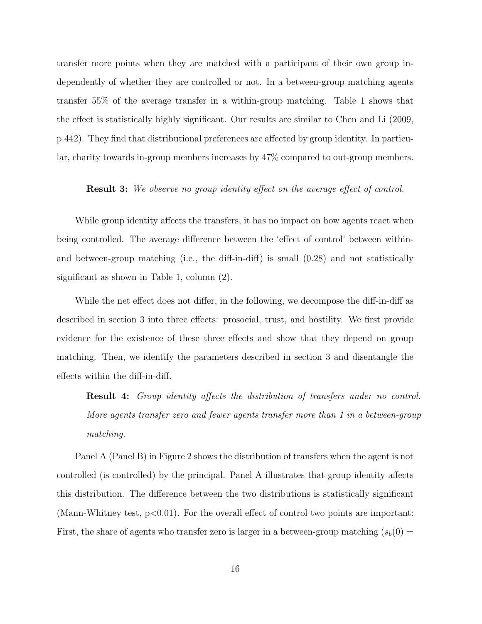transfer more points when they are matched with a participant of their own group independently of whether they are controlled or not. In a between-group matching agents transfer 55% of the average transfer in a within-group matching. Table 1 shows that the effect is statistically highly significant. Our results are similar to Chen and Li (2009, p.442). They find that distributional preferences are affected by group identity. In particular, charity towards in-group members increases by 47% compared to out-group members.

#### Result 3: We observe no group identity effect on the average effect of control.

While group identity affects the transfers, it has no impact on how agents react when being controlled. The average difference between the 'effect of control' between withinand between-group matching (i.e., the diff-in-diff) is small (0.28) and not statistically significant as shown in Table 1, column (2).

While the net effect does not differ, in the following, we decompose the diff-in-diff as described in section 3 into three effects: prosocial, trust, and hostility. We first provide evidence for the existence of these three effects and show that they depend on group matching. Then, we identify the parameters described in section 3 and disentangle the effects within the diff-in-diff.

Result 4: Group identity affects the distribution of transfers under no control. More agents transfer zero and fewer agents transfer more than 1 in a between-group matching.

Panel A (Panel B) in Figure 2 shows the distribution of transfers when the agent is not controlled (is controlled) by the principal. Panel A illustrates that group identity affects this distribution. The difference between the two distributions is statistically significant (Mann-Whitney test,  $p<0.01$ ). For the overall effect of control two points are important: First, the share of agents who transfer zero is larger in a between-group matching  $(s_b(0) =$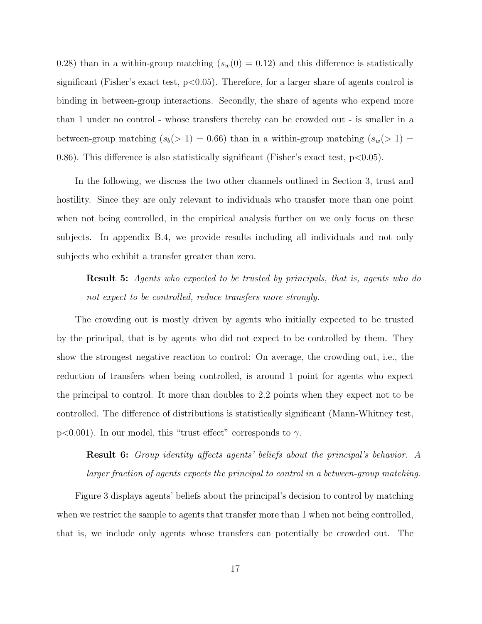0.28) than in a within-group matching  $(s_w(0) = 0.12)$  and this difference is statistically significant (Fisher's exact test,  $p<0.05$ ). Therefore, for a larger share of agents control is binding in between-group interactions. Secondly, the share of agents who expend more than 1 under no control - whose transfers thereby can be crowded out - is smaller in a between-group matching  $(s_b(> 1) = 0.66)$  than in a within-group matching  $(s_w(> 1) =$ 0.86). This difference is also statistically significant (Fisher's exact test,  $p < 0.05$ ).

In the following, we discuss the two other channels outlined in Section 3, trust and hostility. Since they are only relevant to individuals who transfer more than one point when not being controlled, in the empirical analysis further on we only focus on these subjects. In appendix B.4, we provide results including all individuals and not only subjects who exhibit a transfer greater than zero.

Result 5: Agents who expected to be trusted by principals, that is, agents who do not expect to be controlled, reduce transfers more strongly.

The crowding out is mostly driven by agents who initially expected to be trusted by the principal, that is by agents who did not expect to be controlled by them. They show the strongest negative reaction to control: On average, the crowding out, i.e., the reduction of transfers when being controlled, is around 1 point for agents who expect the principal to control. It more than doubles to 2.2 points when they expect not to be controlled. The difference of distributions is statistically significant (Mann-Whitney test, p<0.001). In our model, this "trust effect" corresponds to  $\gamma$ .

Result 6: Group identity affects agents' beliefs about the principal's behavior. A larger fraction of agents expects the principal to control in a between-group matching.

Figure 3 displays agents' beliefs about the principal's decision to control by matching when we restrict the sample to agents that transfer more than 1 when not being controlled, that is, we include only agents whose transfers can potentially be crowded out. The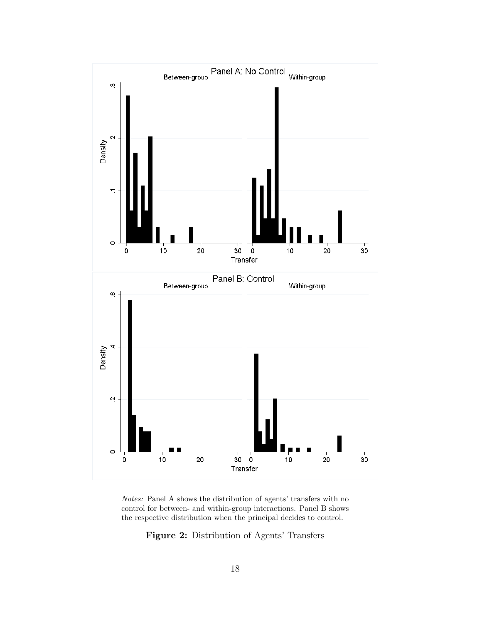

Notes: Panel A shows the distribution of agents' transfers with no control for between- and within-group interactions. Panel B shows the respective distribution when the principal decides to control.

Figure 2: Distribution of Agents' Transfers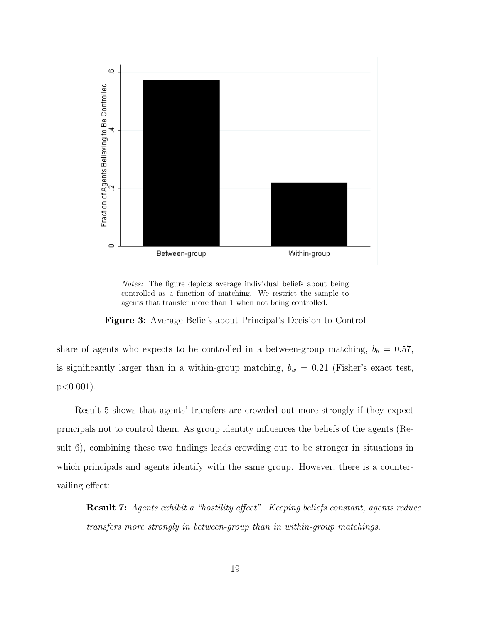

Notes: The figure depicts average individual beliefs about being controlled as a function of matching. We restrict the sample to agents that transfer more than 1 when not being controlled.

Figure 3: Average Beliefs about Principal's Decision to Control

share of agents who expects to be controlled in a between-group matching,  $b_b = 0.57$ , is significantly larger than in a within-group matching,  $b_w = 0.21$  (Fisher's exact test,  $p < 0.001$ ).

Result 5 shows that agents' transfers are crowded out more strongly if they expect principals not to control them. As group identity influences the beliefs of the agents (Result 6), combining these two findings leads crowding out to be stronger in situations in which principals and agents identify with the same group. However, there is a countervailing effect:

Result 7: Agents exhibit a "hostility effect". Keeping beliefs constant, agents reduce transfers more strongly in between-group than in within-group matchings.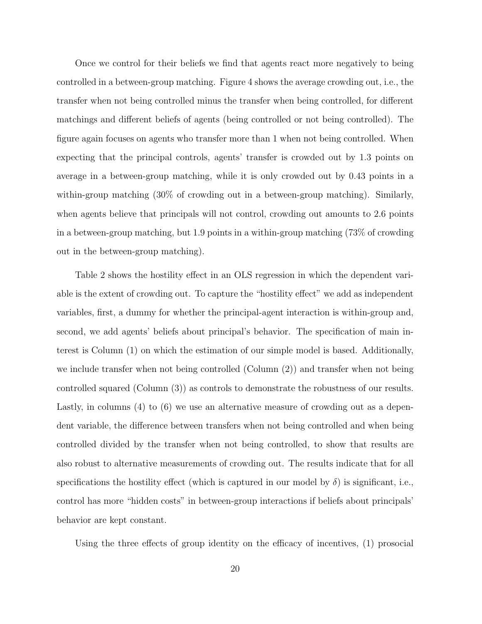Once we control for their beliefs we find that agents react more negatively to being controlled in a between-group matching. Figure 4 shows the average crowding out, i.e., the transfer when not being controlled minus the transfer when being controlled, for different matchings and different beliefs of agents (being controlled or not being controlled). The figure again focuses on agents who transfer more than 1 when not being controlled. When expecting that the principal controls, agents' transfer is crowded out by 1.3 points on average in a between-group matching, while it is only crowded out by 0.43 points in a within-group matching (30% of crowding out in a between-group matching). Similarly, when agents believe that principals will not control, crowding out amounts to 2.6 points in a between-group matching, but 1.9 points in a within-group matching (73% of crowding out in the between-group matching).

Table 2 shows the hostility effect in an OLS regression in which the dependent variable is the extent of crowding out. To capture the "hostility effect" we add as independent variables, first, a dummy for whether the principal-agent interaction is within-group and, second, we add agents' beliefs about principal's behavior. The specification of main interest is Column (1) on which the estimation of our simple model is based. Additionally, we include transfer when not being controlled (Column (2)) and transfer when not being controlled squared (Column (3)) as controls to demonstrate the robustness of our results. Lastly, in columns (4) to (6) we use an alternative measure of crowding out as a dependent variable, the difference between transfers when not being controlled and when being controlled divided by the transfer when not being controlled, to show that results are also robust to alternative measurements of crowding out. The results indicate that for all specifications the hostility effect (which is captured in our model by  $\delta$ ) is significant, i.e., control has more "hidden costs" in between-group interactions if beliefs about principals' behavior are kept constant.

Using the three effects of group identity on the efficacy of incentives, (1) prosocial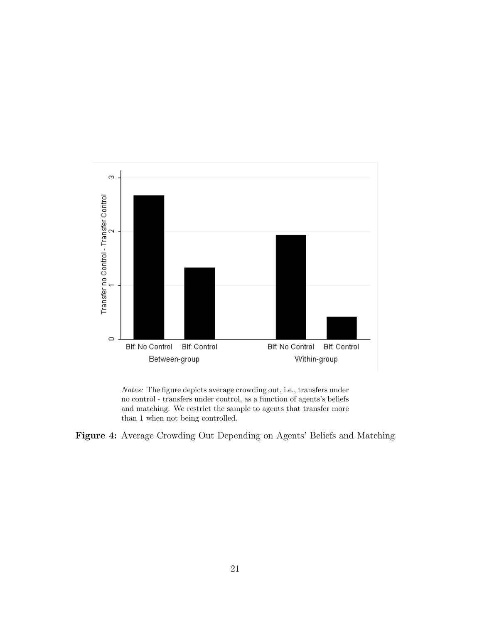

Notes: The figure depicts average crowding out, i.e., transfers under no control - transfers under control, as a function of agents's beliefs and matching. We restrict the sample to agents that transfer more than 1 when not being controlled.

Figure 4: Average Crowding Out Depending on Agents' Beliefs and Matching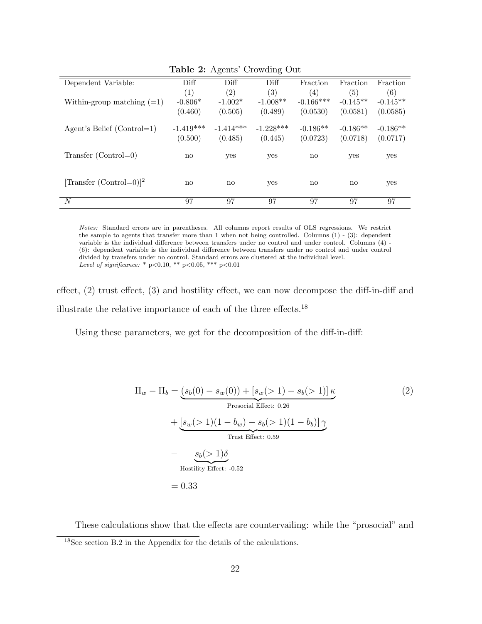|                              |                        | $\overline{\phantom{0}}$ | ◡                |                  |             |            |
|------------------------------|------------------------|--------------------------|------------------|------------------|-------------|------------|
| Dependent Variable:          | Diff                   | Diff                     | Diff             | Fraction         | Fraction    | Fraction   |
|                              | (1)                    | $\left( 2\right)$        | $\left(3\right)$ | $\left(4\right)$ | (5)         | (6)        |
| Within-group matching $(=1)$ | $-0.806*$              | $-1.002*$                | $-1.008**$       | $-0.166***$      | $-0.145$ ** | $-0.145**$ |
|                              | (0.460)                | (0.505)                  | (0.489)          | (0.0530)         | (0.0581)    | (0.0585)   |
|                              |                        |                          |                  |                  |             |            |
| Agent's Belief $(Control=1)$ | $-1.419***$            | $-1.414***$              | $-1.228***$      | $-0.186**$       | $-0.186**$  | $-0.186**$ |
|                              | (0.500)                | (0.485)                  | (0.445)          | (0.0723)         | (0.0718)    | (0.0717)   |
|                              |                        |                          |                  |                  |             |            |
| $Transfer (Control=0)$       | $\mathbf{n}\mathbf{o}$ | yes                      | yes              | no               | yes         | yes        |
|                              |                        |                          |                  |                  |             |            |
|                              |                        |                          |                  |                  |             |            |
| $[Transfer (Control=0)]^2$   | no                     | no                       | yes              | no               | no          | yes        |
|                              |                        |                          |                  |                  |             |            |
| N                            | 97                     | 97                       | 97               | 97               | 97          | 97         |

Table 2: Agents' Crowding Out

Notes: Standard errors are in parentheses. All columns report results of OLS regressions. We restrict the sample to agents that transfer more than 1 when not being controlled. Columns (1) - (3): dependent variable is the individual difference between transfers under no control and under control. Columns (4) - (6): dependent variable is the individual difference between transfers under no control and under control divided by transfers under no control. Standard errors are clustered at the individual level. Level of significance: \* p<0.10, \*\* p<0.05, \*\*\* p<0.01

effect, (2) trust effect, (3) and hostility effect, we can now decompose the diff-in-diff and illustrate the relative importance of each of the three effects.<sup>18</sup>

Using these parameters, we get for the decomposition of the diff-in-diff:

$$
\Pi_w - \Pi_b = \underbrace{(s_b(0) - s_w(0)) + [s_w(>1) - s_b(>1)]\kappa}_{\text{Prosocial Effect: 0.26}} \tag{2}
$$
\n
$$
+ \underbrace{[s_w(>1)(1 - b_w) - s_b(>1)(1 - b_b)]\gamma}_{\text{Trust Effect: 0.59}}
$$
\n
$$
- \underbrace{s_b(>1)\delta}_{\text{Hostility Effect: -0.52}}
$$
\n
$$
= 0.33
$$

These calculations show that the effects are countervailing: while the "prosocial" and <sup>18</sup>See section B.2 in the Appendix for the details of the calculations.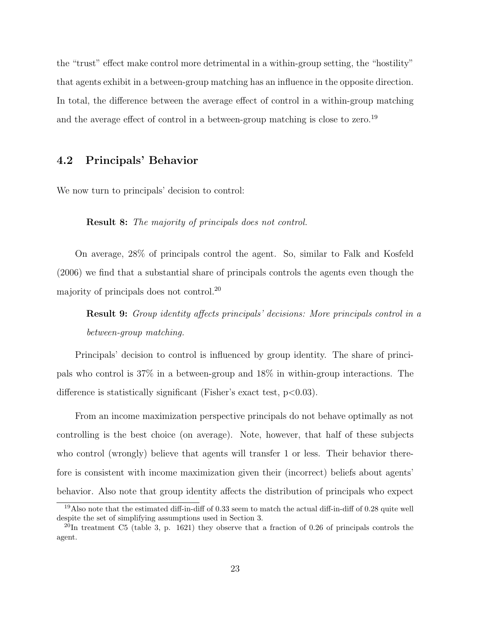the "trust" effect make control more detrimental in a within-group setting, the "hostility" that agents exhibit in a between-group matching has an influence in the opposite direction. In total, the difference between the average effect of control in a within-group matching and the average effect of control in a between-group matching is close to zero.<sup>19</sup>

### 4.2 Principals' Behavior

We now turn to principals' decision to control:

Result 8: The majority of principals does not control.

On average, 28% of principals control the agent. So, similar to Falk and Kosfeld (2006) we find that a substantial share of principals controls the agents even though the majority of principals does not control.<sup>20</sup>

Result 9: Group identity affects principals' decisions: More principals control in a between-group matching.

Principals' decision to control is influenced by group identity. The share of principals who control is 37% in a between-group and 18% in within-group interactions. The difference is statistically significant (Fisher's exact test,  $p<0.03$ ).

From an income maximization perspective principals do not behave optimally as not controlling is the best choice (on average). Note, however, that half of these subjects who control (wrongly) believe that agents will transfer 1 or less. Their behavior therefore is consistent with income maximization given their (incorrect) beliefs about agents' behavior. Also note that group identity affects the distribution of principals who expect

<sup>19</sup>Also note that the estimated diff-in-diff of 0.33 seem to match the actual diff-in-diff of 0.28 quite well despite the set of simplifying assumptions used in Section 3.

 $^{20}$ In treatment C5 (table 3, p. 1621) they observe that a fraction of 0.26 of principals controls the agent.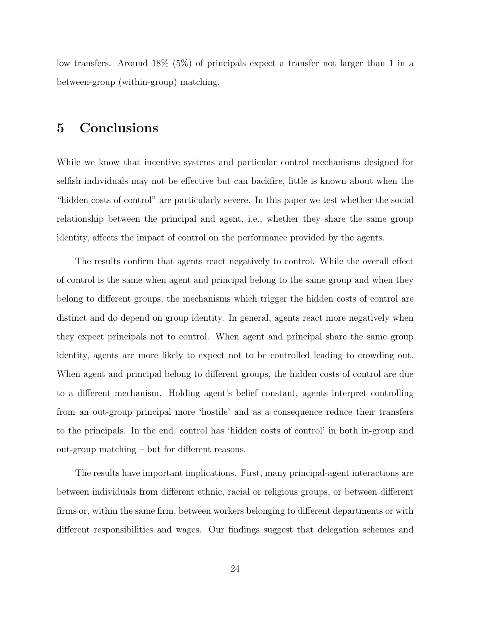low transfers. Around 18% (5%) of principals expect a transfer not larger than 1 in a between-group (within-group) matching.

## 5 Conclusions

While we know that incentive systems and particular control mechanisms designed for selfish individuals may not be effective but can backfire, little is known about when the "hidden costs of control" are particularly severe. In this paper we test whether the social relationship between the principal and agent, i.e., whether they share the same group identity, affects the impact of control on the performance provided by the agents.

The results confirm that agents react negatively to control. While the overall effect of control is the same when agent and principal belong to the same group and when they belong to different groups, the mechanisms which trigger the hidden costs of control are distinct and do depend on group identity. In general, agents react more negatively when they expect principals not to control. When agent and principal share the same group identity, agents are more likely to expect not to be controlled leading to crowding out. When agent and principal belong to different groups, the hidden costs of control are due to a different mechanism. Holding agent's belief constant, agents interpret controlling from an out-group principal more 'hostile' and as a consequence reduce their transfers to the principals. In the end, control has 'hidden costs of control' in both in-group and out-group matching – but for different reasons.

The results have important implications. First, many principal-agent interactions are between individuals from different ethnic, racial or religious groups, or between different firms or, within the same firm, between workers belonging to different departments or with different responsibilities and wages. Our findings suggest that delegation schemes and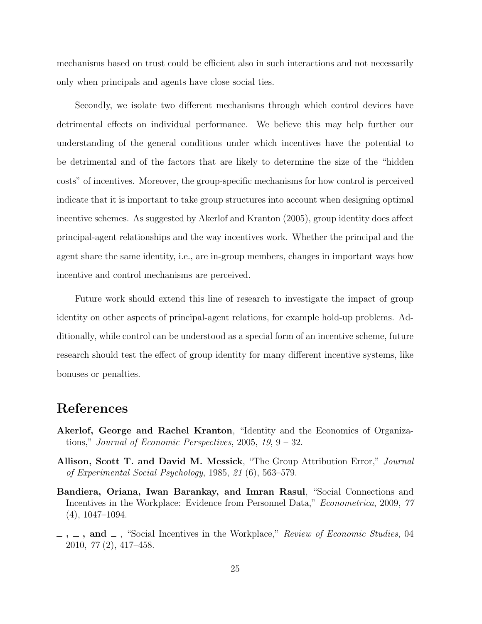mechanisms based on trust could be efficient also in such interactions and not necessarily only when principals and agents have close social ties.

Secondly, we isolate two different mechanisms through which control devices have detrimental effects on individual performance. We believe this may help further our understanding of the general conditions under which incentives have the potential to be detrimental and of the factors that are likely to determine the size of the "hidden costs" of incentives. Moreover, the group-specific mechanisms for how control is perceived indicate that it is important to take group structures into account when designing optimal incentive schemes. As suggested by Akerlof and Kranton (2005), group identity does affect principal-agent relationships and the way incentives work. Whether the principal and the agent share the same identity, i.e., are in-group members, changes in important ways how incentive and control mechanisms are perceived.

Future work should extend this line of research to investigate the impact of group identity on other aspects of principal-agent relations, for example hold-up problems. Additionally, while control can be understood as a special form of an incentive scheme, future research should test the effect of group identity for many different incentive systems, like bonuses or penalties.

### References

- Akerlof, George and Rachel Kranton, "Identity and the Economics of Organizations," Journal of Economic Perspectives,  $2005$ ,  $19$ ,  $9 - 32$ .
- Allison, Scott T. and David M. Messick, "The Group Attribution Error," Journal of Experimental Social Psychology, 1985, 21 (6), 563–579.
- Bandiera, Oriana, Iwan Barankay, and Imran Rasul, "Social Connections and Incentives in the Workplace: Evidence from Personnel Data," Econometrica, 2009, 77 (4), 1047–1094.
- $\ldots$ , and  $\ldots$ , "Social Incentives in the Workplace," Review of Economic Studies, 04 2010, 77 (2), 417–458.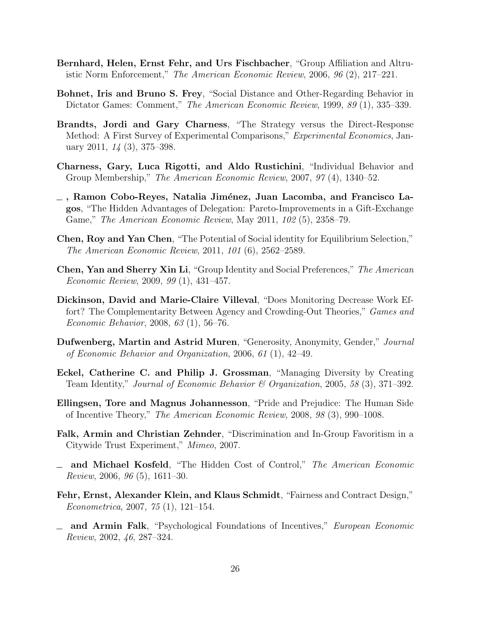- Bernhard, Helen, Ernst Fehr, and Urs Fischbacher, "Group Affiliation and Altruistic Norm Enforcement," The American Economic Review, 2006, 96 (2), 217–221.
- Bohnet, Iris and Bruno S. Frey, "Social Distance and Other-Regarding Behavior in Dictator Games: Comment," The American Economic Review, 1999, 89 (1), 335–339.
- Brandts, Jordi and Gary Charness, "The Strategy versus the Direct-Response Method: A First Survey of Experimental Comparisons," Experimental Economics, January 2011, 14 (3), 375–398.
- Charness, Gary, Luca Rigotti, and Aldo Rustichini, "Individual Behavior and Group Membership," The American Economic Review, 2007, 97 (4), 1340–52.
- $\overline{\phantom{a}}$ , Ramon Cobo-Reyes, Natalia Jiménez, Juan Lacomba, and Francisco Lagos, "The Hidden Advantages of Delegation: Pareto-Improvements in a Gift-Exchange Game," The American Economic Review, May 2011, 102 (5), 2358–79.
- Chen, Roy and Yan Chen, "The Potential of Social identity for Equilibrium Selection," The American Economic Review, 2011, 101 (6), 2562–2589.
- Chen, Yan and Sherry Xin Li, "Group Identity and Social Preferences," The American Economic Review, 2009, 99 (1), 431–457.
- Dickinson, David and Marie-Claire Villeval, "Does Monitoring Decrease Work Effort? The Complementarity Between Agency and Crowding-Out Theories," Games and Economic Behavior, 2008, 63 (1), 56–76.
- Dufwenberg, Martin and Astrid Muren, "Generosity, Anonymity, Gender," Journal of Economic Behavior and Organization, 2006, 61 (1), 42–49.
- Eckel, Catherine C. and Philip J. Grossman, "Managing Diversity by Creating Team Identity," Journal of Economic Behavior & Organization, 2005, 58 (3), 371–392.
- Ellingsen, Tore and Magnus Johannesson, "Pride and Prejudice: The Human Side of Incentive Theory," The American Economic Review, 2008, 98 (3), 990–1008.
- Falk, Armin and Christian Zehnder, "Discrimination and In-Group Favoritism in a Citywide Trust Experiment," Mimeo, 2007.
- and Michael Kosfeld, "The Hidden Cost of Control," The American Economic Review, 2006, 96 (5), 1611–30.
- Fehr, Ernst, Alexander Klein, and Klaus Schmidt, "Fairness and Contract Design," Econometrica, 2007, 75 (1), 121–154.
- and Armin Falk, "Psychological Foundations of Incentives," European Economic Review, 2002, 46, 287–324.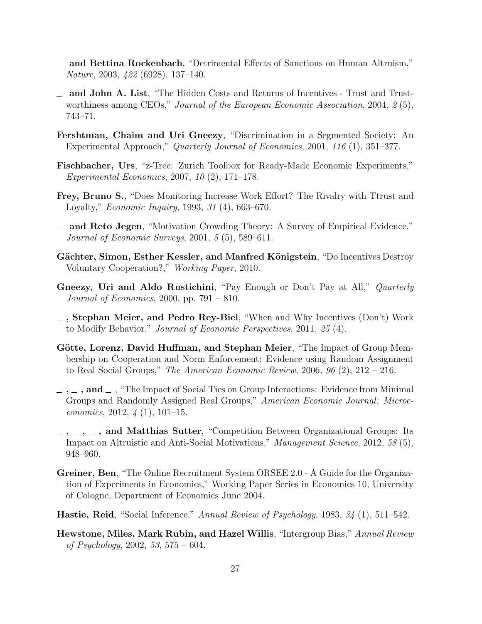- and Bettina Rockenbach, "Detrimental Effects of Sanctions on Human Altruism," Nature, 2003, 422 (6928), 137–140.
- and John A. List, "The Hidden Costs and Returns of Incentives Trust and Trustworthiness among CEOs," Journal of the European Economic Association, 2004, 2(5), 743–71.
- Fershtman, Chaim and Uri Gneezy, "Discrimination in a Segmented Society: An Experimental Approach," Quarterly Journal of Economics, 2001, 116 (1), 351–377.
- Fischbacher, Urs, "z-Tree: Zurich Toolbox for Ready-Made Economic Experiments," Experimental Economics, 2007, 10 (2), 171–178.
- Frey, Bruno S., "Does Monitoring Increase Work Effort? The Rivalry with Ttrust and Loyalty," Economic Inquiry, 1993, 31 (4), 663–670.
- and Reto Jegen, "Motivation Crowding Theory: A Survey of Empirical Evidence," Journal of Economic Surveys, 2001, 5 (5), 589–611.
- Gächter, Simon, Esther Kessler, and Manfred Königstein, "Do Incentives Destroy Voluntary Cooperation?," Working Paper, 2010.
- Gneezy, Uri and Aldo Rustichini, "Pay Enough or Don't Pay at All," *Quarterly* Journal of Economics, 2000, pp.  $791 - 810$ .
- $\overline{\phantom{a}}$ , Stephan Meier, and Pedro Rey-Biel, "When and Why Incentives (Don't) Work to Modify Behavior," Journal of Economic Perspectives, 2011, 25 (4).
- Götte, Lorenz, David Huffman, and Stephan Meier, "The Impact of Group Membership on Cooperation and Norm Enforcement: Evidence using Random Assignment to Real Social Groups," The American Economic Review, 2006,  $96(2)$ ,  $212 - 216$ .
- $\ldots$ , and  $\ldots$ , "The Impact of Social Ties on Group Interactions: Evidence from Minimal Groups and Randomly Assigned Real Groups," American Economic Journal: Microeconomics, 2012,  $\frac{1}{4}$  (1), 101–15.
- $\ldots$ ,  $\ldots$ , and Matthias Sutter, "Competition Between Organizational Groups: Its Impact on Altruistic and Anti-Social Motivations," Management Science, 2012, 58 (5), 948–960.
- Greiner, Ben, "The Online Recruitment System ORSEE 2.0 A Guide for the Organization of Experiments in Economics," Working Paper Series in Economics 10, University of Cologne, Department of Economics June 2004.
- Hastie, Reid, "Social Inference," Annual Review of Psychology, 1983, 34 (1), 511–542.
- Hewstone, Miles, Mark Rubin, and Hazel Willis, "Intergroup Bias," Annual Review of Psychology, 2002, 53, 575 – 604.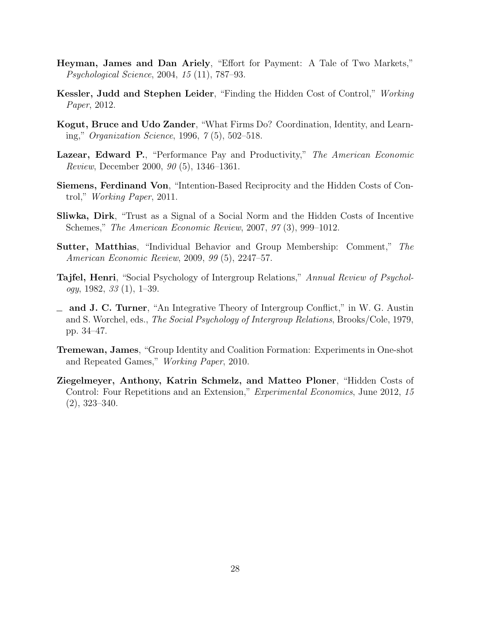- Heyman, James and Dan Ariely, "Effort for Payment: A Tale of Two Markets," Psychological Science, 2004, 15 (11), 787–93.
- Kessler, Judd and Stephen Leider, "Finding the Hidden Cost of Control," Working Paper, 2012.
- Kogut, Bruce and Udo Zander, "What Firms Do? Coordination, Identity, and Learning," Organization Science, 1996, 7 (5), 502–518.
- Lazear, Edward P., "Performance Pay and Productivity," The American Economic Review, December 2000, 90 (5), 1346–1361.
- Siemens, Ferdinand Von, "Intention-Based Reciprocity and the Hidden Costs of Control," Working Paper, 2011.
- Sliwka, Dirk, "Trust as a Signal of a Social Norm and the Hidden Costs of Incentive Schemes," The American Economic Review, 2007, 97 (3), 999–1012.
- Sutter, Matthias, "Individual Behavior and Group Membership: Comment," The American Economic Review, 2009, 99 (5), 2247–57.
- Tajfel, Henri, "Social Psychology of Intergroup Relations," Annual Review of Psychol $ogy, 1982, 33(1), 1-39.$
- $\equiv$  and J. C. Turner, "An Integrative Theory of Intergroup Conflict," in W. G. Austin and S. Worchel, eds., The Social Psychology of Intergroup Relations, Brooks/Cole, 1979, pp. 34–47.
- Tremewan, James, "Group Identity and Coalition Formation: Experiments in One-shot and Repeated Games," Working Paper, 2010.
- Ziegelmeyer, Anthony, Katrin Schmelz, and Matteo Ploner, "Hidden Costs of Control: Four Repetitions and an Extension," Experimental Economics, June 2012, 15 (2), 323–340.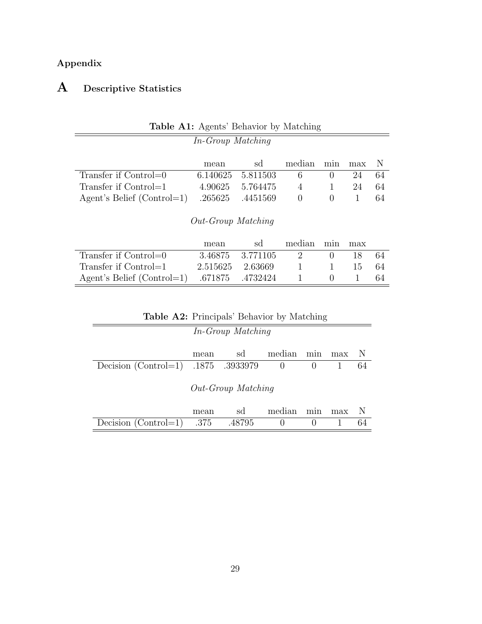## Appendix

# A Descriptive Statistics

| In-Group Matching            |                    |          |                  |                  |     |     |
|------------------------------|--------------------|----------|------------------|------------------|-----|-----|
|                              | mean               | sd       | median           | min              | max | - N |
| Transfer if Control=0        | 6.140625           | 5.811503 | 6                | $\theta$         | 24  | 64  |
| Transfer if Control=1        | 4.90625            | 5.764475 | $\overline{4}$   |                  | 24  | 64  |
| Agent's Belief $(Control=1)$ | .265625            | .4451569 | $\left( \right)$ | $\left( \right)$ |     | 64  |
|                              | Out-Group Matching |          |                  |                  |     |     |
|                              | maxon              | $\sim$   | modian min       |                  | max |     |

### Table A1: Agents' Behavior by Matching

|                                               | mean             | sd               | median min max |              |      |      |
|-----------------------------------------------|------------------|------------------|----------------|--------------|------|------|
| Transfer if Control=0                         |                  | 3.46875 3.771105 |                |              | 18.  |      |
| Transfer if $Control=1$                       | 2.515625 2.63669 |                  |                | $\mathbf{I}$ | 15 - | - 64 |
| Agent's Belief $(Control=1)$ .671875 .4732424 |                  |                  |                |              |      |      |
|                                               |                  |                  |                |              |      |      |

| <b>Table A2:</b> Principals' Behavior by Matching             |      |        |          |                  |  |    |  |  |  |
|---------------------------------------------------------------|------|--------|----------|------------------|--|----|--|--|--|
| In-Group Matching                                             |      |        |          |                  |  |    |  |  |  |
| median<br>sd<br>- N<br>min<br>max<br>mean                     |      |        |          |                  |  |    |  |  |  |
| Decision (Control=1) .1875 .3933979                           |      |        | $\sim 0$ | $\theta$         |  | 64 |  |  |  |
| Out-Group Matching<br>median<br>N<br>sd<br>min<br>max<br>mean |      |        |          |                  |  |    |  |  |  |
| Decision $(Control=1)$                                        | .375 | .48795 | $\cup$   | $\left( \right)$ |  | 64 |  |  |  |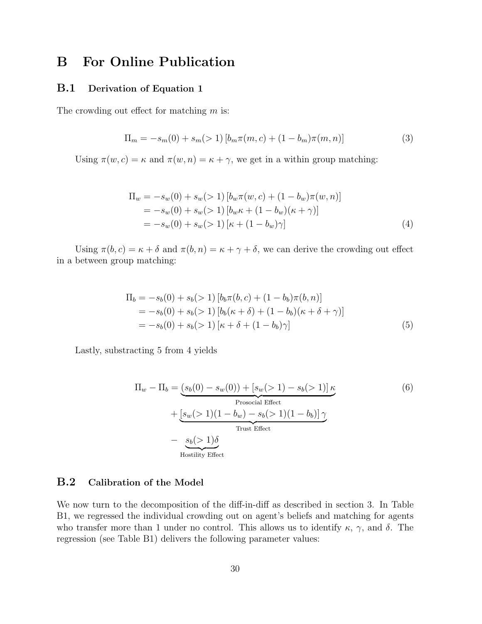## B For Online Publication

### B.1 Derivation of Equation 1

The crowding out effect for matching  $m$  is:

$$
\Pi_m = -s_m(0) + s_m(>1) \left[ b_m \pi(m, c) + (1 - b_m) \pi(m, n) \right]
$$
\n(3)

Using  $\pi(w, c) = \kappa$  and  $\pi(w, n) = \kappa + \gamma$ , we get in a within group matching:

$$
\Pi_w = -s_w(0) + s_w(>1) [b_w \pi(w, c) + (1 - b_w) \pi(w, n)]
$$
  
=  $-s_w(0) + s_w(>1) [b_w \kappa + (1 - b_w) (\kappa + \gamma)]$   
=  $-s_w(0) + s_w(>1) [\kappa + (1 - b_w) \gamma]$  (4)

Using  $\pi(b, c) = \kappa + \delta$  and  $\pi(b, n) = \kappa + \gamma + \delta$ , we can derive the crowding out effect in a between group matching:

$$
\Pi_b = -s_b(0) + s_b(>1) [b_b \pi(b, c) + (1 - b_b) \pi(b, n)]
$$
  
=  $-s_b(0) + s_b(>1) [b_b(\kappa + \delta) + (1 - b_b)(\kappa + \delta + \gamma)]$   
=  $-s_b(0) + s_b(>1) [\kappa + \delta + (1 - b_b) \gamma]$  (5)

Lastly, substracting 5 from 4 yields

$$
\Pi_w - \Pi_b = (s_b(0) - s_w(0)) + [s_w(>1) - s_b(>1)]\kappa
$$
  
Prosocial Effect  
+ 
$$
[s_w(>1)(1 - b_w) - s_b(>1)(1 - b_b)]\gamma
$$
  
Trust Effect  
- 
$$
s_b(>1)\delta
$$
  
Hostility Effect

### B.2 Calibration of the Model

We now turn to the decomposition of the diff-in-diff as described in section 3. In Table B1, we regressed the individual crowding out on agent's beliefs and matching for agents who transfer more than 1 under no control. This allows us to identify  $\kappa$ ,  $\gamma$ , and  $\delta$ . The regression (see Table B1) delivers the following parameter values: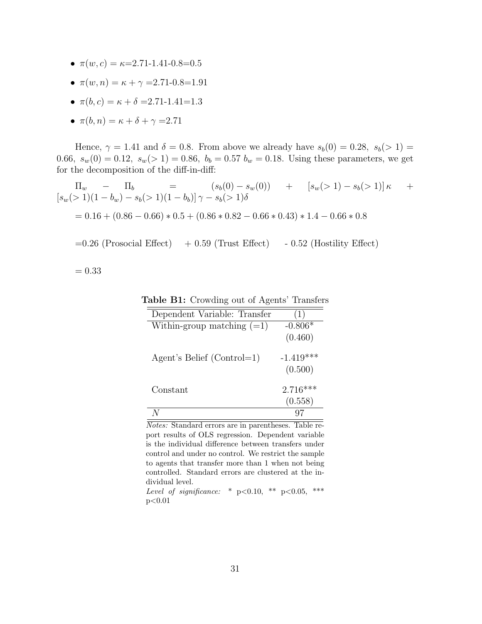- $\pi(w, c) = \kappa = 2.71 1.41 0.8 = 0.5$
- $\pi(w, n) = \kappa + \gamma = 2.71 0.8 = 1.91$
- $\pi(b, c) = \kappa + \delta = 2.71 \text{-} 1.41 = 1.3$
- $\pi(b, n) = \kappa + \delta + \gamma = 2.71$

Hence,  $\gamma = 1.41$  and  $\delta = 0.8$ . From above we already have  $s_b(0) = 0.28$ ,  $s_b(>1) =$ 0.66,  $s_w(0) = 0.12$ ,  $s_w(> 1) = 0.86$ ,  $b_b = 0.57$   $b_w = 0.18$ . Using these parameters, we get for the decomposition of the diff-in-diff:

$$
\Pi_w - \Pi_b = (s_b(0) - s_w(0)) + [s_w(>1) - s_b(>1)]\kappa +
$$
  
\n
$$
[s_w(>1)(1 - b_w) - s_b(>1)(1 - b_b)]\gamma - s_b(>1)\delta
$$
  
\n
$$
= 0.16 + (0.86 - 0.66) * 0.5 + (0.86 * 0.82 - 0.66 * 0.43) * 1.4 - 0.66 * 0.8
$$

 $=0.26$  (Prosocial Effect)  $+0.59$  (Trust Effect)  $-0.52$  (Hostility Effect)

 $= 0.33$ 

| Dependent Variable: Transfer | (上)                    |
|------------------------------|------------------------|
| Within-group matching $(=1)$ | $-0.806*$<br>(0.460)   |
| Agent's Belief (Control=1)   | $-1.419***$<br>(0.500) |
| Constant                     | $2.716***$<br>(0.558)  |
|                              |                        |

Table B1: Crowding out of Agents' Transfers

Notes: Standard errors are in parentheses. Table report results of OLS regression. Dependent variable is the individual difference between transfers under control and under no control. We restrict the sample to agents that transfer more than 1 when not being controlled. Standard errors are clustered at the individual level.

Level of significance: \*  $p<0.10$ , \*\*  $p<0.05$ , \*\*\*  $p<0.01$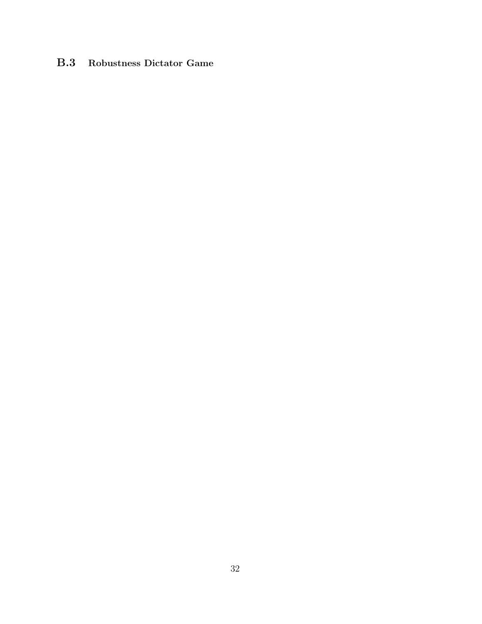### B.3 Robustness Dictator Game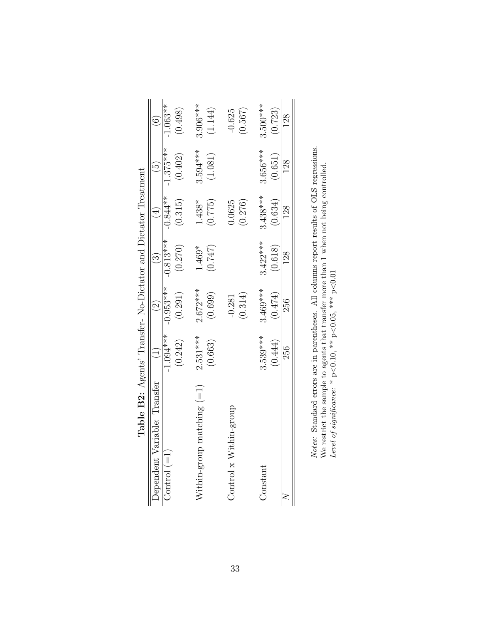| Dependent Variable: Transfer    |             |             | $\odot$     | $\frac{4}{4}$ | $\tilde{5}$ |            |
|---------------------------------|-------------|-------------|-------------|---------------|-------------|------------|
| Control $(=1)$                  | $-1.094***$ | $-0.953***$ | $-0.813***$ | $-0.844**$    | $-1.375***$ | $-1.063**$ |
|                                 | (0.242)     | (0.291)     | (0.270)     | (0.315)       | (0.402)     | (0.498)    |
| $N$ ithin-group matching $(=1)$ | $2.531***$  | $2.672***$  | 1.469*      | $1.438*$      | 3.594 ***   | $3.906***$ |
|                                 | (0.663)     | (0.699)     | (0.747)     | (0.775)       | (1.081)     | (1.144)    |
| Control x Within-group          |             | $-0.281$    |             | 0.625         |             | $-0.625$   |
|                                 |             | (0.314)     |             | (0.276)       |             | (0.567)    |
| Constant                        | $3.539***$  | $3.469***$  | $3.422***$  | $3.438***$    | $3.656***$  | $3.500***$ |
|                                 | (0.444)     | (0.474)     | (0.618)     | (0.634)       | (0.651)     | (0.723)    |
|                                 | 256         | 256         | 128         | 128           | 128         | 128        |

| Notes: Standard errors are in parentheses. All columns report results of OLS regres | We restrict the sample to agents that transfer more than $1$ when not being controlled | Level of significance: * $p < 0.10$ , ** $p < 0.05$ , *** $p < 0.01$ |
|-------------------------------------------------------------------------------------|----------------------------------------------------------------------------------------|----------------------------------------------------------------------|
|                                                                                     |                                                                                        |                                                                      |

| $2.7 + 22.2$<br>)<br>1<br>ŀ                     |
|-------------------------------------------------|
|                                                 |
| vuuu u                                          |
| $N \sim N$ Metator and Dictator<br>־שטערעי      |
| <b>AND AND AND A</b><br>ו<br>ו<br>$\mathfrak l$ |
| $\Box$ able B2: Agents'                         |
|                                                 |
|                                                 |

33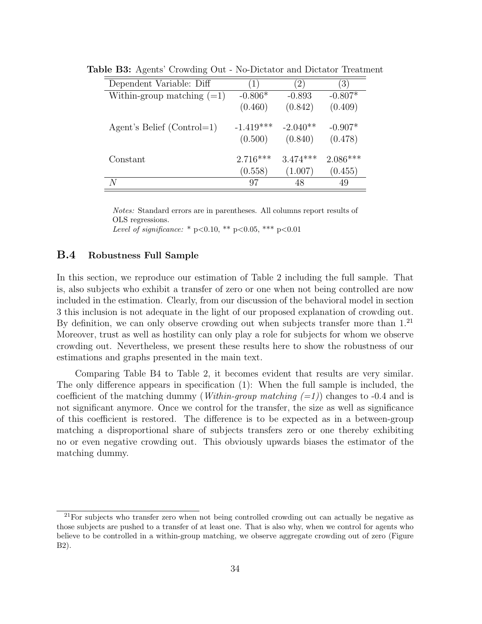| Dependent Variable: Diff     | (1)         | $\left(2\right)$ | $\left(3\right)$ |
|------------------------------|-------------|------------------|------------------|
| Within-group matching $(=1)$ | $-0.806*$   | $-0.893$         | $-0.807*$        |
|                              | (0.460)     | (0.842)          | (0.409)          |
| Agent's Belief (Control=1)   | $-1.419***$ | $-2.040**$       | $-0.907*$        |
|                              | (0.500)     | (0.840)          | (0.478)          |
| Constant                     | $2.716***$  | $3.474***$       | $2.086***$       |
|                              | (0.558)     | (1.007)          | (0.455)          |
| N                            | 97          | 48               | 49               |

Table B3: Agents' Crowding Out - No-Dictator and Dictator Treatment

Notes: Standard errors are in parentheses. All columns report results of OLS regressions. Level of significance: \* p<0.10, \*\* p<0.05, \*\*\* p<0.01

### B.4 Robustness Full Sample

In this section, we reproduce our estimation of Table 2 including the full sample. That is, also subjects who exhibit a transfer of zero or one when not being controlled are now included in the estimation. Clearly, from our discussion of the behavioral model in section 3 this inclusion is not adequate in the light of our proposed explanation of crowding out. By definition, we can only observe crowding out when subjects transfer more than  $1<sup>21</sup>$ Moreover, trust as well as hostility can only play a role for subjects for whom we observe crowding out. Nevertheless, we present these results here to show the robustness of our estimations and graphs presented in the main text.

Comparing Table B4 to Table 2, it becomes evident that results are very similar. The only difference appears in specification (1): When the full sample is included, the coefficient of the matching dummy (*Within-group matching*  $(=1)$ ) changes to -0.4 and is not significant anymore. Once we control for the transfer, the size as well as significance of this coefficient is restored. The difference is to be expected as in a between-group matching a disproportional share of subjects transfers zero or one thereby exhibiting no or even negative crowding out. This obviously upwards biases the estimator of the matching dummy.

 $21$ For subjects who transfer zero when not being controlled crowding out can actually be negative as those subjects are pushed to a transfer of at least one. That is also why, when we control for agents who believe to be controlled in a within-group matching, we observe aggregate crowding out of zero (Figure B2).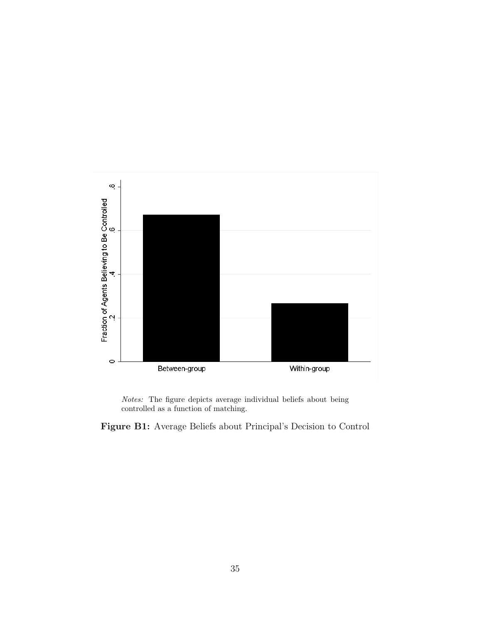

Notes: The figure depicts average individual beliefs about being controlled as a function of matching.

Figure B1: Average Beliefs about Principal's Decision to Control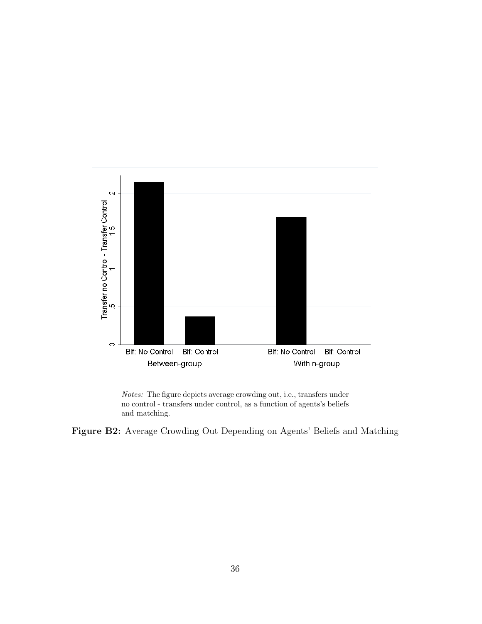

Notes: The figure depicts average crowding out, i.e., transfers under no control - transfers under control, as a function of agents's beliefs and matching.

Figure B2: Average Crowding Out Depending on Agents' Beliefs and Matching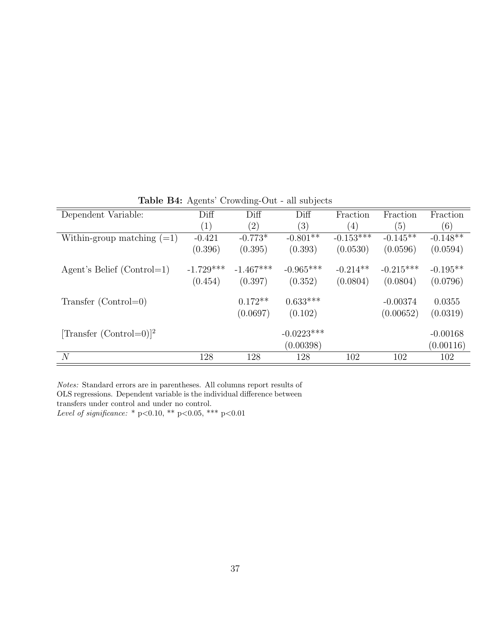|                                   | $\cdots$    | $\sim$ $\sim$ $\sim$ $\sim$ $\sim$ $\sim$ $\sim$ $\sim$ |              |             |                  |            |
|-----------------------------------|-------------|---------------------------------------------------------|--------------|-------------|------------------|------------|
| Dependent Variable:               | Diff        | Diff                                                    | Diff         | Fraction    | Fraction         | Fraction   |
|                                   | (1)         | $\left( 2\right)$                                       | (3)          | (4)         | $\left(5\right)$ | (6)        |
| Within-group matching $(=1)$      | $-0.421$    | $-0.773*$                                               | $-0.801**$   | $-0.153***$ | $-0.145**$       | $-0.148**$ |
|                                   | (0.396)     | (0.395)                                                 | (0.393)      | (0.0530)    | (0.0596)         | (0.0594)   |
|                                   |             |                                                         |              |             |                  |            |
| Agent's Belief (Control=1)        | $-1.729***$ | $-1.467***$                                             | $-0.965***$  | $-0.214**$  | $-0.215***$      | $-0.195**$ |
|                                   | (0.454)     | (0.397)                                                 | (0.352)      | (0.0804)    | (0.0804)         | (0.0796)   |
|                                   |             | $0.172**$                                               | $0.633***$   |             | $-0.00374$       | 0.0355     |
| Transfer $(Control=0)$            |             |                                                         |              |             |                  |            |
|                                   |             | (0.0697)                                                | (0.102)      |             | (0.00652)        | (0.0319)   |
| $[\text{Transfer (Control=0)]}^2$ |             |                                                         | $-0.0223***$ |             |                  | $-0.00168$ |
|                                   |             |                                                         |              |             |                  |            |
|                                   |             |                                                         | (0.00398)    |             |                  | (0.00116)  |
| $\overline{N}$                    | 128         | 128                                                     | 128          | 102         | 102              | 102        |

Table B4: Agents' Crowding-Out - all subjects

Notes: Standard errors are in parentheses. All columns report results of OLS regressions. Dependent variable is the individual difference between transfers under control and under no control. Level of significance: \* p<0.10, \*\* p<0.05, \*\*\* p<0.01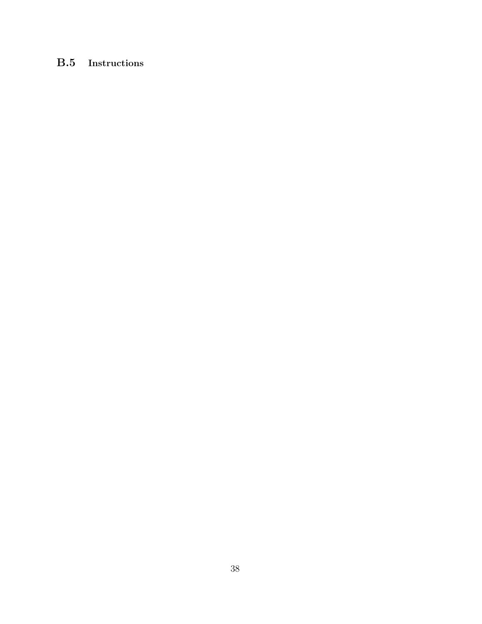## B.5 Instructions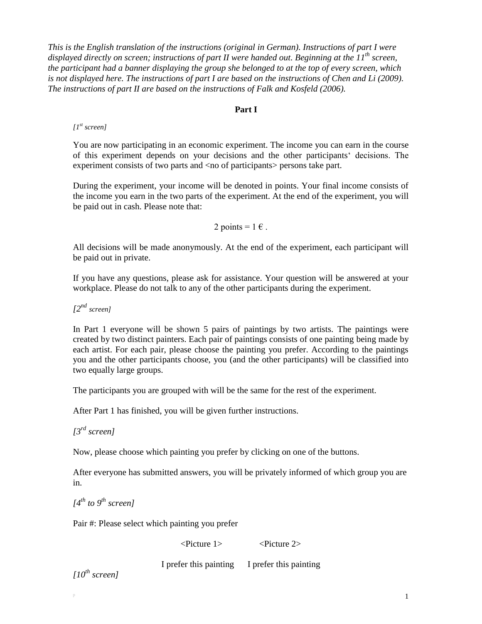*This is the English translation of the instructions (original in German). Instructions of part I were displayed directly on screen; instructions of part II were handed out. Beginning at the 11th screen, the participant had a banner displaying the group she belonged to at the top of every screen, which is not displayed here. The instructions of part I are based on the instructions of Chen and Li (2009). The instructions of part II are based on the instructions of Falk and Kosfeld (2006).*

#### **Part I**

#### *[1st screen]*

You are now participating in an economic experiment. The income you can earn in the course of this experiment depends on your decisions and the other participants' decisions. The experiment consists of two parts and  $\langle$  no of participants persons take part.

During the experiment, your income will be denoted in points. Your final income consists of the income you earn in the two parts of the experiment. At the end of the experiment, you will be paid out in cash. Please note that:

2 points =  $1 \in$ .

All decisions will be made anonymously. At the end of the experiment, each participant will be paid out in private.

If you have any questions, please ask for assistance. Your question will be answered at your workplace. Please do not talk to any of the other participants during the experiment.

*[2nd screen]*

In Part 1 everyone will be shown 5 pairs of paintings by two artists. The paintings were created by two distinct painters. Each pair of paintings consists of one painting being made by each artist. For each pair, please choose the painting you prefer. According to the paintings you and the other participants choose, you (and the other participants) will be classified into two equally large groups.

The participants you are grouped with will be the same for the rest of the experiment.

After Part 1 has finished, you will be given further instructions.

*[3rd screen]*

Now, please choose which painting you prefer by clicking on one of the buttons.

After everyone has submitted answers, you will be privately informed of which group you are in.

*[4 th to 9th screen]*

Pair #: Please select which painting you prefer

<Picture 1> <Picture 2>

I prefer this painting I prefer this painting

*[10th screen]*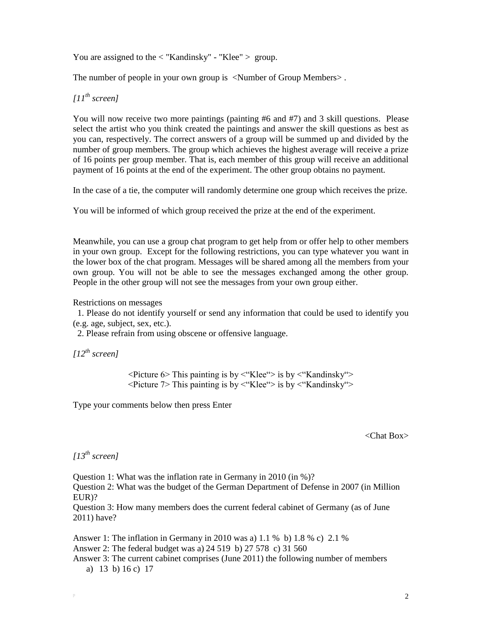You are assigned to the  $\langle$  "Kandinsky" - "Klee"  $>$  group.

The number of people in your own group is <Number of Group Members>.

*[11th screen]*

You will now receive two more paintings (painting #6 and #7) and 3 skill questions. Please select the artist who you think created the paintings and answer the skill questions as best as you can, respectively. The correct answers of a group will be summed up and divided by the number of group members. The group which achieves the highest average will receive a prize of 16 points per group member. That is, each member of this group will receive an additional payment of 16 points at the end of the experiment. The other group obtains no payment.

In the case of a tie, the computer will randomly determine one group which receives the prize.

You will be informed of which group received the prize at the end of the experiment.

Meanwhile, you can use a group chat program to get help from or offer help to other members in your own group. Except for the following restrictions, you can type whatever you want in the lower box of the chat program. Messages will be shared among all the members from your own group. You will not be able to see the messages exchanged among the other group. People in the other group will not see the messages from your own group either.

Restrictions on messages

 1. Please do not identify yourself or send any information that could be used to identify you (e.g. age, subject, sex, etc.).

2. Please refrain from using obscene or offensive language.

*[12th screen]*

 $\leq$ Picture 6> This painting is by  $\leq$  Klee  $\leq$  is by  $\leq$  Kandinsky  $\leq$ <Picture 7> This painting is by <"Klee"> is by <"Kandinsky">

Type your comments below then press Enter

<Chat Box>

*[13th screen]*

Question 1: What was the inflation rate in Germany in 2010 (in %)? Question 2: What was the budget of the German Department of Defense in 2007 (in Million EUR)? Question 3: How many members does the current federal cabinet of Germany (as of June 2011) have?

Answer 1: The inflation in Germany in 2010 was a) 1.1 % b) 1.8 % c) 2.1 % Answer 2: The federal budget was a) 24 519 b) 27 578 c) 31 560 Answer 3: The current cabinet comprises (June 2011) the following number of members a) 13 b) 16 c) 17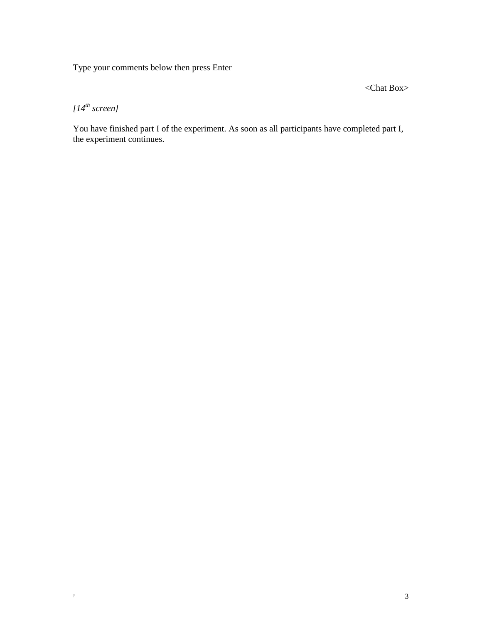Type your comments below then press Enter

<Chat Box>

*[14th screen]*

You have finished part I of the experiment. As soon as all participants have completed part I, the experiment continues.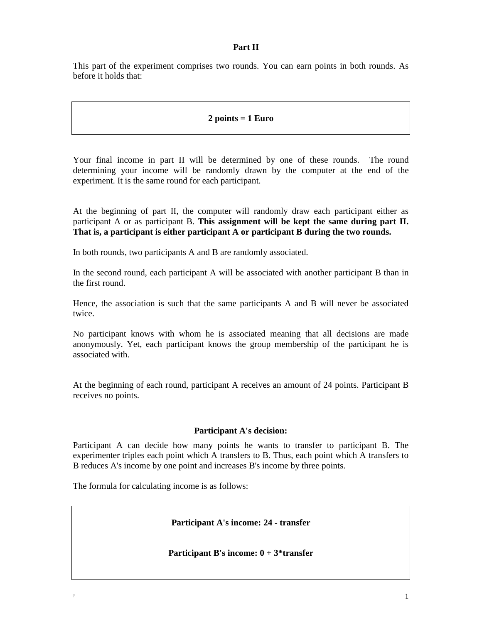### **Part II**

This part of the experiment comprises two rounds. You can earn points in both rounds. As before it holds that:

### **2 points = 1 Euro**

Your final income in part II will be determined by one of these rounds. The round determining your income will be randomly drawn by the computer at the end of the experiment. It is the same round for each participant.

At the beginning of part II, the computer will randomly draw each participant either as participant A or as participant B. **This assignment will be kept the same during part II. That is, a participant is either participant A or participant B during the two rounds.**

In both rounds, two participants A and B are randomly associated.

In the second round, each participant A will be associated with another participant B than in the first round.

Hence, the association is such that the same participants A and B will never be associated twice.

No participant knows with whom he is associated meaning that all decisions are made anonymously. Yet, each participant knows the group membership of the participant he is associated with.

At the beginning of each round, participant A receives an amount of 24 points. Participant B receives no points.

### **Participant A's decision:**

Participant A can decide how many points he wants to transfer to participant B. The experimenter triples each point which A transfers to B. Thus, each point which A transfers to B reduces A's income by one point and increases B's income by three points.

The formula for calculating income is as follows:

**Participant A's income: 24 - transfer**

#### **Participant B's income: 0 + 3\*transfer**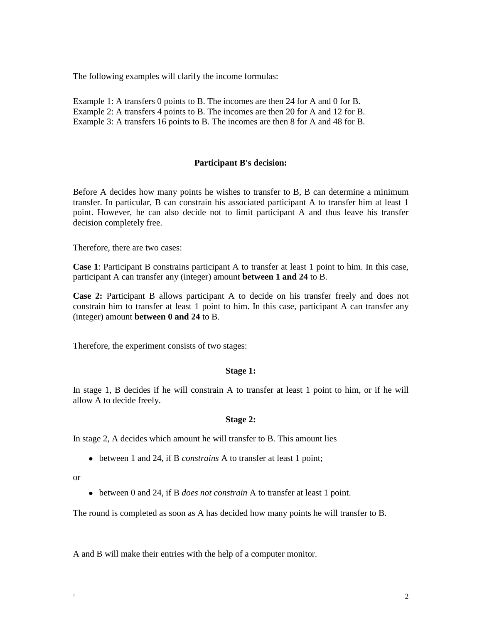The following examples will clarify the income formulas:

Example 1: A transfers 0 points to B. The incomes are then 24 for A and 0 for B. Example 2: A transfers 4 points to B. The incomes are then 20 for A and 12 for B. Example 3: A transfers 16 points to B. The incomes are then 8 for A and 48 for B.

### **Participant B's decision:**

Before A decides how many points he wishes to transfer to B, B can determine a minimum transfer. In particular, B can constrain his associated participant A to transfer him at least 1 point. However, he can also decide not to limit participant A and thus leave his transfer decision completely free.

Therefore, there are two cases:

**Case 1**: Participant B constrains participant A to transfer at least 1 point to him. In this case, participant A can transfer any (integer) amount **between 1 and 24** to B.

**Case 2:** Participant B allows participant A to decide on his transfer freely and does not constrain him to transfer at least 1 point to him. In this case, participant A can transfer any (integer) amount **between 0 and 24** to B.

Therefore, the experiment consists of two stages:

#### **Stage 1:**

In stage 1, B decides if he will constrain A to transfer at least 1 point to him, or if he will allow A to decide freely.

#### **Stage 2:**

In stage 2, A decides which amount he will transfer to B. This amount lies

between 1 and 24, if B *constrains* A to transfer at least 1 point;

or

between 0 and 24, if B *does not constrain* A to transfer at least 1 point.

The round is completed as soon as A has decided how many points he will transfer to B.

A and B will make their entries with the help of a computer monitor.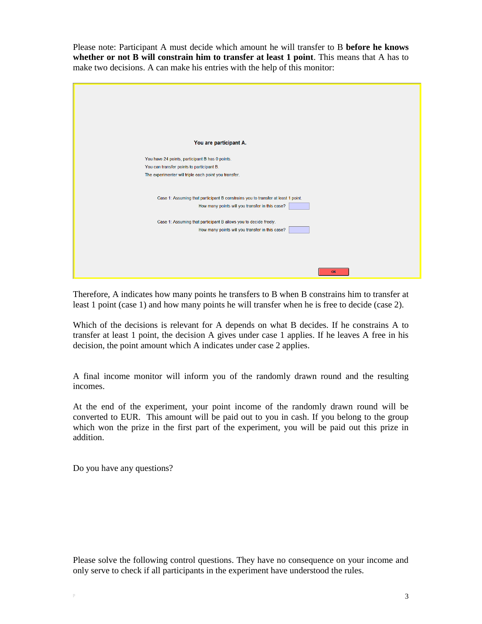Please note: Participant A must decide which amount he will transfer to B **before he knows whether or not B will constrain him to transfer at least 1 point**. This means that A has to make two decisions. A can make his entries with the help of this monitor:



Therefore, A indicates how many points he transfers to B when B constrains him to transfer at least 1 point (case 1) and how many points he will transfer when he is free to decide (case 2).

Which of the decisions is relevant for A depends on what B decides. If he constrains A to transfer at least 1 point, the decision A gives under case 1 applies. If he leaves A free in his decision, the point amount which A indicates under case 2 applies.

A final income monitor will inform you of the randomly drawn round and the resulting incomes.

At the end of the experiment, your point income of the randomly drawn round will be converted to EUR. This amount will be paid out to you in cash. If you belong to the group which won the prize in the first part of the experiment, you will be paid out this prize in addition.

Do you have any questions?

Please solve the following control questions. They have no consequence on your income and only serve to check if all participants in the experiment have understood the rules.